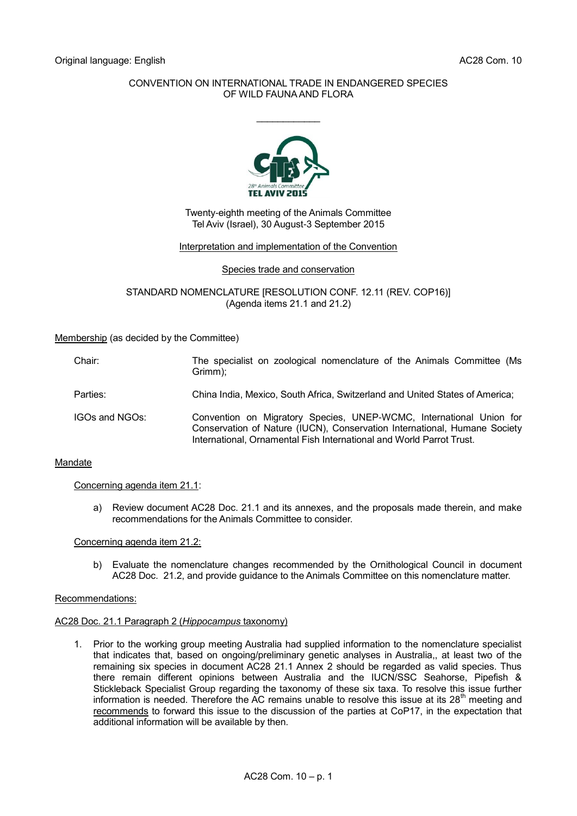# CONVENTION ON INTERNATIONAL TRADE IN ENDANGERED SPECIES OF WILD FAUNA AND FLORA

 $\frac{1}{2}$ 



## Twenty-eighth meeting of the Animals Committee Tel Aviv (Israel), 30 August-3 September 2015

## Interpretation and implementation of the Convention

## Species trade and conservation

STANDARD NOMENCLATURE [RESOLUTION CONF. 12.11 (REV. COP16)] (Agenda items 21.1 and 21.2)

## Membership (as decided by the Committee)

| Chair:         | The specialist on zoological nomenclature of the Animals Committee (Ms<br>Grimm);                                                                                                                                        |
|----------------|--------------------------------------------------------------------------------------------------------------------------------------------------------------------------------------------------------------------------|
| Parties:       | China India, Mexico, South Africa, Switzerland and United States of America;                                                                                                                                             |
| IGOs and NGOs: | Convention on Migratory Species, UNEP-WCMC, International Union for<br>Conservation of Nature (IUCN), Conservation International, Humane Society<br>International, Ornamental Fish International and World Parrot Trust. |

## Mandate

## Concerning agenda item 21.1:

a) Review document AC28 Doc. 21.1 and its annexes, and the proposals made therein, and make recommendations for the Animals Committee to consider.

Concerning agenda item 21.2:

b) Evaluate the nomenclature changes recommended by the Ornithological Council in document AC28 Doc. 21.2, and provide guidance to the Animals Committee on this nomenclature matter.

## Recommendations:

## AC28 Doc. 21.1 Paragraph 2 (*Hippocampus* taxonomy)

1. Prior to the working group meeting Australia had supplied information to the nomenclature specialist that indicates that, based on ongoing/preliminary genetic analyses in Australia,, at least two of the remaining six species in document AC28 21.1 Annex 2 should be regarded as valid species. Thus there remain different opinions between Australia and the IUCN/SSC Seahorse, Pipefish & Stickleback Specialist Group regarding the taxonomy of these six taxa. To resolve this issue further information is needed. Therefore the AC remains unable to resolve this issue at its  $28<sup>th</sup>$  meeting and recommends to forward this issue to the discussion of the parties at CoP17, in the expectation that additional information will be available by then.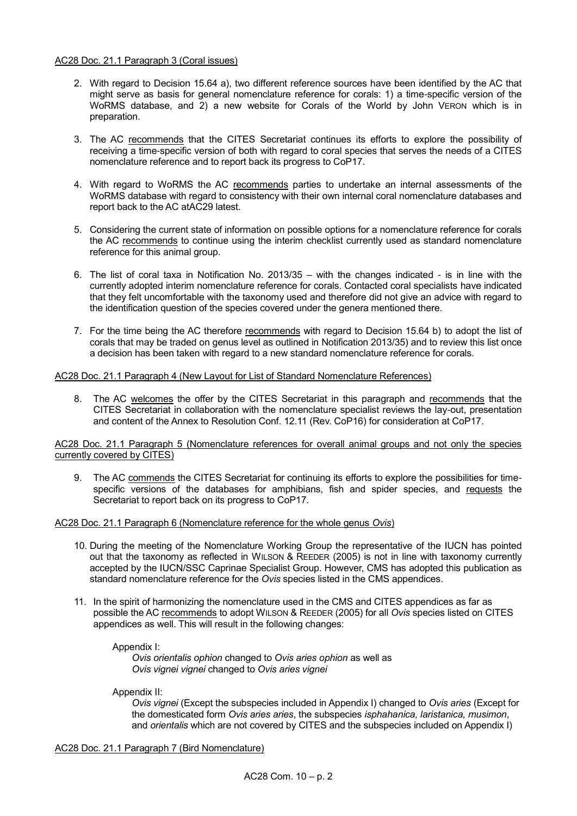# AC28 Doc. 21.1 Paragraph 3 (Coral issues)

- 2. With regard to Decision 15.64 a), two different reference sources have been identified by the AC that might serve as basis for general nomenclature reference for corals: 1) a time-specific version of the WoRMS database, and 2) a new website for Corals of the World by John VERON which is in preparation.
- 3. The AC recommends that the CITES Secretariat continues its efforts to explore the possibility of receiving a time-specific version of both with regard to coral species that serves the needs of a CITES nomenclature reference and to report back its progress to CoP17.
- 4. With regard to WoRMS the AC recommends parties to undertake an internal assessments of the WoRMS database with regard to consistency with their own internal coral nomenclature databases and report back to the AC atAC29 latest.
- 5. Considering the current state of information on possible options for a nomenclature reference for corals the AC recommends to continue using the interim checklist currently used as standard nomenclature reference for this animal group.
- 6. The list of coral taxa in Notification No. 2013/35 with the changes indicated is in line with the currently adopted interim nomenclature reference for corals. Contacted coral specialists have indicated that they felt uncomfortable with the taxonomy used and therefore did not give an advice with regard to the identification question of the species covered under the genera mentioned there.
- 7. For the time being the AC therefore recommends with regard to Decision 15.64 b) to adopt the list of corals that may be traded on genus level as outlined in Notification 2013/35) and to review this list once a decision has been taken with regard to a new standard nomenclature reference for corals.

# AC28 Doc. 21.1 Paragraph 4 (New Layout for List of Standard Nomenclature References)

8. The AC welcomes the offer by the CITES Secretariat in this paragraph and recommends that the CITES Secretariat in collaboration with the nomenclature specialist reviews the lay-out, presentation and content of the Annex to Resolution Conf. 12.11 (Rev. CoP16) for consideration at CoP17.

AC28 Doc. 21.1 Paragraph 5 (Nomenclature references for overall animal groups and not only the species currently covered by CITES)

9. The AC commends the CITES Secretariat for continuing its efforts to explore the possibilities for timespecific versions of the databases for amphibians, fish and spider species, and requests the Secretariat to report back on its progress to CoP17.

## AC28 Doc. 21.1 Paragraph 6 (Nomenclature reference for the whole genus *Ovis*)

- 10. During the meeting of the Nomenclature Working Group the representative of the IUCN has pointed out that the taxonomy as reflected in WILSON & REEDER (2005) is not in line with taxonomy currently accepted by the IUCN/SSC Caprinae Specialist Group. However, CMS has adopted this publication as standard nomenclature reference for the *Ovis* species listed in the CMS appendices.
- 11. In the spirit of harmonizing the nomenclature used in the CMS and CITES appendices as far as possible the AC recommends to adopt WILSON & REEDER (2005) for all *Ovis* species listed on CITES appendices as well. This will result in the following changes:

## Appendix I:

*Ovis orientalis ophion* changed to *Ovis aries ophion* as well as *Ovis vignei vignei* changed to *Ovis aries vignei*

Appendix II:

*Ovis vignei* (Except the subspecies included in Appendix I) changed to *Ovis aries* (Except for the domesticated form *Ovis aries aries*, the subspecies *isphahanica, laristanica, musimon*, and *orientalis* which are not covered by CITES and the subspecies included on Appendix I)

AC28 Doc. 21.1 Paragraph 7 (Bird Nomenclature)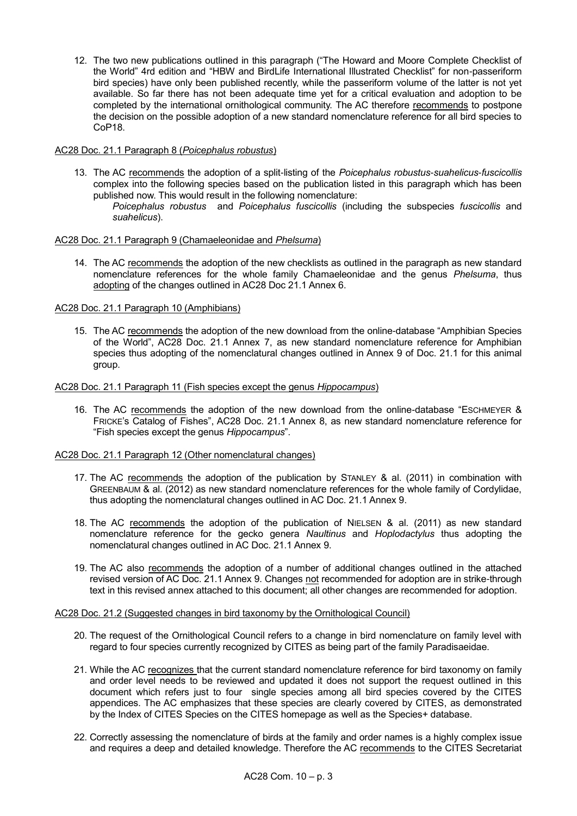12. The two new publications outlined in this paragraph ("The Howard and Moore Complete Checklist of the World" 4rd edition and "HBW and BirdLife International Illustrated Checklist" for non-passeriform bird species) have only been published recently, while the passeriform volume of the latter is not yet available. So far there has not been adequate time yet for a critical evaluation and adoption to be completed by the international ornithological community. The AC therefore recommends to postpone the decision on the possible adoption of a new standard nomenclature reference for all bird species to CoP18.

## AC28 Doc. 21.1 Paragraph 8 (*Poicephalus robustus*)

- 13. The AC recommends the adoption of a split-listing of the *Poicephalus robustus*-*suahelicus*-*fuscicollis* complex into the following species based on the publication listed in this paragraph which has been published now. This would result in the following nomenclature:
	- *Poicephalus robustus* and *Poicephalus fuscicollis* (including the subspecies *fuscicollis* and *suahelicus*).

## AC28 Doc. 21.1 Paragraph 9 (Chamaeleonidae and *Phelsuma*)

14. The AC recommends the adoption of the new checklists as outlined in the paragraph as new standard nomenclature references for the whole family Chamaeleonidae and the genus *Phelsuma*, thus adopting of the changes outlined in AC28 Doc 21.1 Annex 6.

## AC28 Doc. 21.1 Paragraph 10 (Amphibians)

15. The AC recommends the adoption of the new download from the online-database "Amphibian Species of the World", AC28 Doc. 21.1 Annex 7, as new standard nomenclature reference for Amphibian species thus adopting of the nomenclatural changes outlined in Annex 9 of Doc. 21.1 for this animal group.

# AC28 Doc. 21.1 Paragraph 11 (Fish species except the genus *Hippocampus*)

16. The AC recommends the adoption of the new download from the online-database "ESCHMEYER & FRICKE's Catalog of Fishes", AC28 Doc. 21.1 Annex 8, as new standard nomenclature reference for "Fish species except the genus *Hippocampus*".

## AC28 Doc. 21.1 Paragraph 12 (Other nomenclatural changes)

- 17. The AC recommends the adoption of the publication by STANLEY & al. (2011) in combination with GREENBAUM & al. (2012) as new standard nomenclature references for the whole family of Cordylidae, thus adopting the nomenclatural changes outlined in AC Doc. 21.1 Annex 9.
- 18. The AC recommends the adoption of the publication of NIELSEN & al. (2011) as new standard nomenclature reference for the gecko genera *Naultinus* and *Hoplodactylus* thus adopting the nomenclatural changes outlined in AC Doc. 21.1 Annex 9.
- 19. The AC also recommends the adoption of a number of additional changes outlined in the attached revised version of AC Doc. 21.1 Annex 9. Changes not recommended for adoption are in strike-through text in this revised annex attached to this document; all other changes are recommended for adoption.

## AC28 Doc. 21.2 (Suggested changes in bird taxonomy by the Ornithological Council)

- 20. The request of the Ornithological Council refers to a change in bird nomenclature on family level with regard to four species currently recognized by CITES as being part of the family Paradisaeidae.
- 21. While the AC recognizes that the current standard nomenclature reference for bird taxonomy on family and order level needs to be reviewed and updated it does not support the request outlined in this document which refers just to four single species among all bird species covered by the CITES appendices. The AC emphasizes that these species are clearly covered by CITES, as demonstrated by the Index of CITES Species on the CITES homepage as well as the Species+ database.
- 22. Correctly assessing the nomenclature of birds at the family and order names is a highly complex issue and requires a deep and detailed knowledge. Therefore the AC recommends to the CITES Secretariat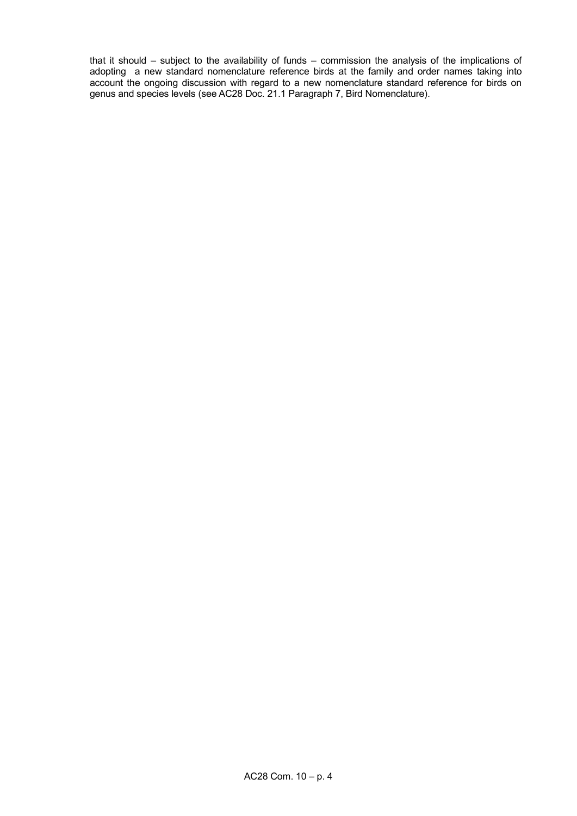that it should – subject to the availability of funds – commission the analysis of the implications of adopting a new standard nomenclature reference birds at the family and order names taking into account the ongoing discussion with regard to a new nomenclature standard reference for birds on genus and species levels (see AC28 Doc. 21.1 Paragraph 7, Bird Nomenclature).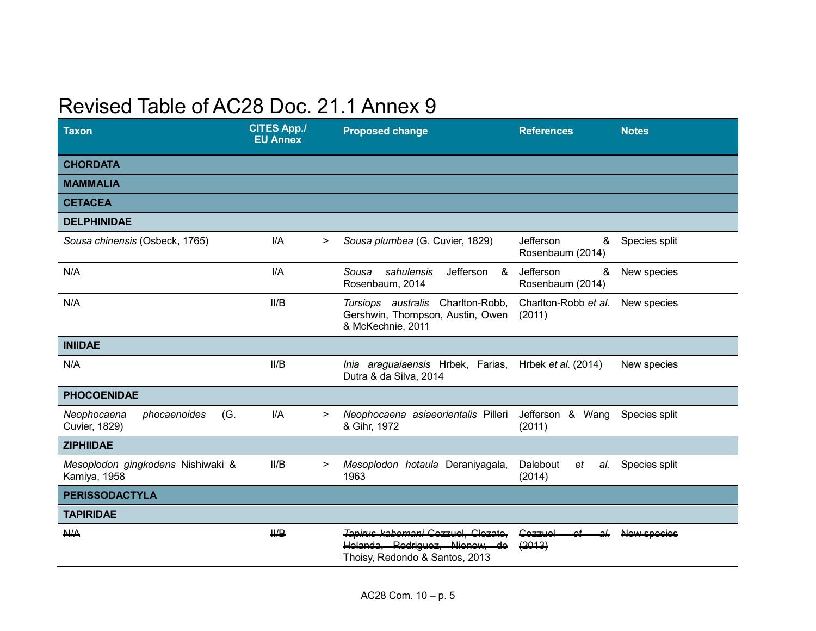# Revised Table of AC28 Doc. 21.1 Annex 9

| <b>Taxon</b>                                        | <b>CITES App./</b><br><b>EU Annex</b> |        | <b>Proposed change</b>                                                                                         | <b>References</b>                  | <b>Notes</b>  |
|-----------------------------------------------------|---------------------------------------|--------|----------------------------------------------------------------------------------------------------------------|------------------------------------|---------------|
| <b>CHORDATA</b>                                     |                                       |        |                                                                                                                |                                    |               |
| <b>MAMMALIA</b>                                     |                                       |        |                                                                                                                |                                    |               |
| <b>CETACEA</b>                                      |                                       |        |                                                                                                                |                                    |               |
| <b>DELPHINIDAE</b>                                  |                                       |        |                                                                                                                |                                    |               |
| Sousa chinensis (Osbeck, 1765)                      | I/A                                   | >      | Sousa plumbea (G. Cuvier, 1829)                                                                                | Jefferson<br>&<br>Rosenbaum (2014) | Species split |
| N/A                                                 | I/A                                   |        | &<br>Sousa<br>sahulensis<br>Jefferson<br>Rosenbaum, 2014                                                       | Jefferson<br>&<br>Rosenbaum (2014) | New species   |
| N/A                                                 | II/B                                  |        | Charlton-Robb,<br>Tursiops australis<br>Gershwin, Thompson, Austin, Owen<br>& McKechnie, 2011                  | Charlton-Robb et al.<br>(2011)     | New species   |
| <b>INIIDAE</b>                                      |                                       |        |                                                                                                                |                                    |               |
| N/A                                                 | II/B                                  |        | Inia araguaiaensis Hrbek, Farias,<br>Dutra & da Silva, 2014                                                    | Hrbek <i>et al.</i> (2014)         | New species   |
| <b>PHOCOENIDAE</b>                                  |                                       |        |                                                                                                                |                                    |               |
| Neophocaena<br>phocaenoides<br>(G.<br>Cuvier, 1829) | I/A                                   | >      | Neophocaena asiaeorientalis Pilleri<br>& Gihr, 1972                                                            | Jefferson & Wang<br>(2011)         | Species split |
| <b>ZIPHIIDAE</b>                                    |                                       |        |                                                                                                                |                                    |               |
| Mesoplodon gingkodens Nishiwaki &<br>Kamiya, 1958   | II/B                                  | $\geq$ | Mesoplodon hotaula Deraniyagala,<br>1963                                                                       | Dalebout<br>et<br>al.<br>(2014)    | Species split |
| <b>PERISSODACTYLA</b>                               |                                       |        |                                                                                                                |                                    |               |
| <b>TAPIRIDAE</b>                                    |                                       |        |                                                                                                                |                                    |               |
| <b>N/A</b>                                          | H/B                                   |        | Tapirus kabomani Cozzuol, Clozato,<br><b>Rodriguez</b><br>Holanda<br>سمصمنلك<br>طه<br>Thoisy, Redondo & Santos | Cozzuol<br>ے<br>(2013)             | New species   |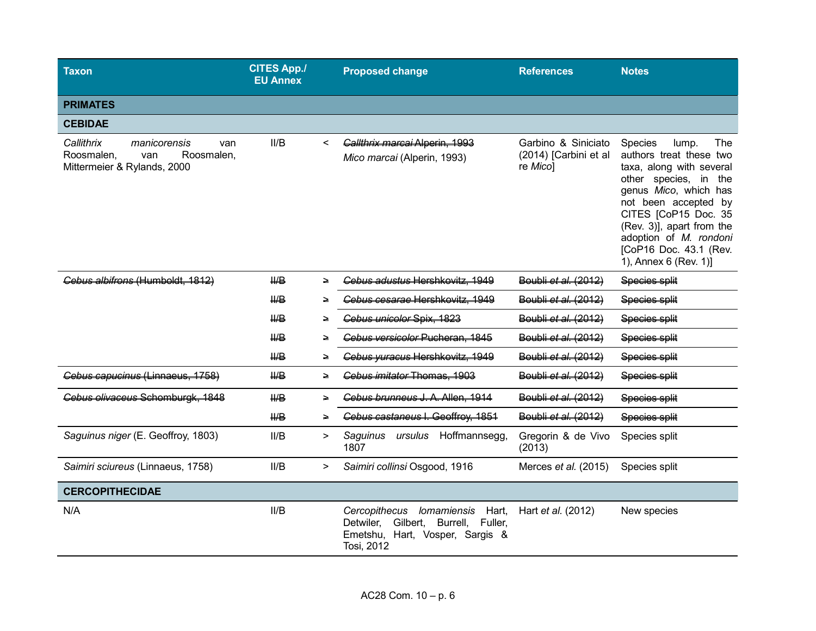| Taxon                                                                                               | <b>CITES App./</b><br><b>EU Annex</b> |         | <b>Proposed change</b>                                                                                                  | <b>References</b>                                        | <b>Notes</b>                                                                                                                                                                                                                                                                               |
|-----------------------------------------------------------------------------------------------------|---------------------------------------|---------|-------------------------------------------------------------------------------------------------------------------------|----------------------------------------------------------|--------------------------------------------------------------------------------------------------------------------------------------------------------------------------------------------------------------------------------------------------------------------------------------------|
| <b>PRIMATES</b>                                                                                     |                                       |         |                                                                                                                         |                                                          |                                                                                                                                                                                                                                                                                            |
| <b>CEBIDAE</b>                                                                                      |                                       |         |                                                                                                                         |                                                          |                                                                                                                                                                                                                                                                                            |
| Callithrix<br>manicorensis<br>van<br>Roosmalen,<br>van<br>Roosmalen,<br>Mittermeier & Rylands, 2000 | II/B                                  | $\,<\,$ | Callthrix marcai Alperin, 1993<br>Mico marcai (Alperin, 1993)                                                           | Garbino & Siniciato<br>(2014) [Carbini et al<br>re Micol | The<br>Species<br>lump.<br>authors treat these two<br>taxa, along with several<br>other species, in the<br>genus Mico, which has<br>not been accepted by<br>CITES [CoP15 Doc. 35<br>(Rev. 3)], apart from the<br>adoption of M. rondoni<br>[CoP16 Doc. 43.1 (Rev.<br>1), Annex 6 (Rev. 1)] |
| Cebus albifrons (Humboldt, 1812)                                                                    | H/B                                   | ⇒       | Cebus adustus Hershkovitz, 1949                                                                                         | Boubli et al. (2012)                                     | Species split                                                                                                                                                                                                                                                                              |
|                                                                                                     | $H\!\!\!\!/\,\Box$                    | ≥       | Cebus cesarae Hershkovitz, 1949                                                                                         | Boubli et al. (2012)                                     | Species split                                                                                                                                                                                                                                                                              |
|                                                                                                     | H/B                                   | ≥       | Cebus unicolor Spix, 1823                                                                                               | Boubli et al. (2012)                                     | <b>Species split</b>                                                                                                                                                                                                                                                                       |
|                                                                                                     | $H\!H\!B$                             |         | Cebus versicolor Pucheran, 1845                                                                                         | Boubli et al. (2012)                                     | Species split                                                                                                                                                                                                                                                                              |
|                                                                                                     | H/B                                   | ≥       | Cebus yuracus Hershkovitz, 1949                                                                                         | Boubli et al. (2012)                                     | <b>Species split</b>                                                                                                                                                                                                                                                                       |
| Cebus capucinus (Linnaeus, 1758)                                                                    | $H\!H\!B$                             | ∍       | Cebus imitator Thomas, 1903                                                                                             | Boubli et al. (2012)                                     | Species split                                                                                                                                                                                                                                                                              |
| Cebus olivaceus Schomburgk, 1848                                                                    | $H\rightarrow$                        | ∍       | Cebus brunneus J. A. Allen, 1914                                                                                        | Boubli et al. (2012)                                     | Species split                                                                                                                                                                                                                                                                              |
|                                                                                                     | $H\!H\!B$                             |         | Cebus castaneus I. Geoffroy, 1851                                                                                       | Boubli et al. (2012)                                     | Species split                                                                                                                                                                                                                                                                              |
| Saguinus niger (E. Geoffroy, 1803)                                                                  | II/B                                  | $\geq$  | ursulus Hoffmannsegg,<br>Saguinus<br>1807                                                                               | Gregorin & de Vivo<br>(2013)                             | Species split                                                                                                                                                                                                                                                                              |
| Saimiri sciureus (Linnaeus, 1758)                                                                   | II/B                                  | >       | Saimiri collinsi Osgood, 1916                                                                                           | Merces et al. (2015)                                     | Species split                                                                                                                                                                                                                                                                              |
| <b>CERCOPITHECIDAE</b>                                                                              |                                       |         |                                                                                                                         |                                                          |                                                                                                                                                                                                                                                                                            |
| N/A                                                                                                 | II/B                                  |         | Cercopithecus lomamiensis Hart,<br>Detwiler, Gilbert, Burrell, Fuller,<br>Emetshu, Hart, Vosper, Sargis &<br>Tosi, 2012 | Hart et al. (2012)                                       | New species                                                                                                                                                                                                                                                                                |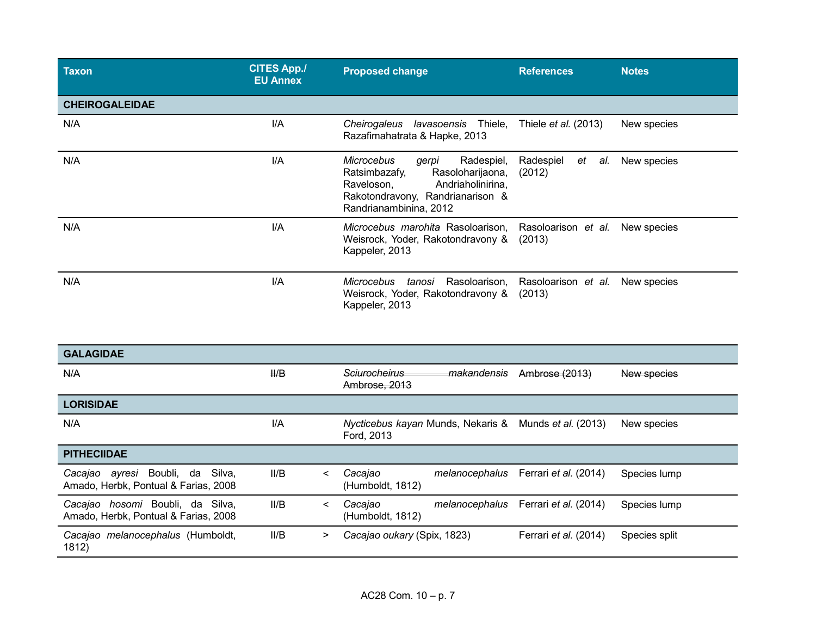| <b>Taxon</b>          | <b>CITES App./</b><br><b>EU Annex</b> | <b>Proposed change</b>                                                                                                                                                         | <b>References</b>                | <b>Notes</b> |
|-----------------------|---------------------------------------|--------------------------------------------------------------------------------------------------------------------------------------------------------------------------------|----------------------------------|--------------|
| <b>CHEIROGALEIDAE</b> |                                       |                                                                                                                                                                                |                                  |              |
| N/A                   | I/A                                   | Cheirogaleus<br><i>lavasoensis</i> Thiele,<br>Razafimahatrata & Hapke, 2013                                                                                                    | Thiele <i>et al.</i> (2013)      | New species  |
| N/A                   | I/A                                   | <b>Microcebus</b><br>Radespiel,<br>gerpi<br>Ratsimbazafy,<br>Rasoloharijaona,<br>Raveloson,<br>Andriaholinirina,<br>Rakotondravony, Randrianarison &<br>Randrianambinina, 2012 | Radespiel<br>et<br>al.<br>(2012) | New species  |
| N/A                   | I/A                                   | Microcebus marohita Rasoloarison.<br>Weisrock, Yoder, Rakotondravony &<br>Kappeler, 2013                                                                                       | Rasoloarison et al.<br>(2013)    | New species  |
| N/A                   | I/A                                   | <b>Microcebus</b><br>Rasoloarison.<br>tanosi<br>Weisrock, Yoder, Rakotondravony &<br>Kappeler, 2013                                                                            | Rasoloarison et al.<br>(2013)    | New species  |

| <b>GALAGIDAE</b>                                                                  |                |                                                                                              |
|-----------------------------------------------------------------------------------|----------------|----------------------------------------------------------------------------------------------|
| A/A                                                                               | $H\!\!\!\perp$ | <b>Sciurocheirus</b><br>Ambrose (2013)<br>makandensis<br>New species<br>Ambrose, 2013        |
| <b>LORISIDAE</b>                                                                  |                |                                                                                              |
| N/A                                                                               | I/A            | Nycticebus kayan Munds, Nekaris &<br>Munds <i>et al.</i> (2013)<br>New species<br>Ford, 2013 |
| <b>PITHECIIDAE</b>                                                                |                |                                                                                              |
| Boubli, da<br>Cacajao<br>Silva.<br>avresi<br>Amado, Herbk, Pontual & Farias, 2008 | II/B<br><      | Cacajao<br>Ferrari et al. (2014)<br>Species lump<br>melanocephalus<br>(Humboldt, 1812)       |
| hosomi Boubli, da<br>Silva.<br>Cacajao<br>Amado, Herbk, Pontual & Farias, 2008    | II/B<br><      | Cacajao<br>Ferrari et al. (2014)<br>Species lump<br>melanocephalus<br>(Humboldt, 1812)       |
| melanocephalus (Humboldt,<br>Cacajao<br>1812)                                     | II/B<br>>      | Cacajao oukary (Spix, 1823)<br>Ferrari et al. (2014)<br>Species split                        |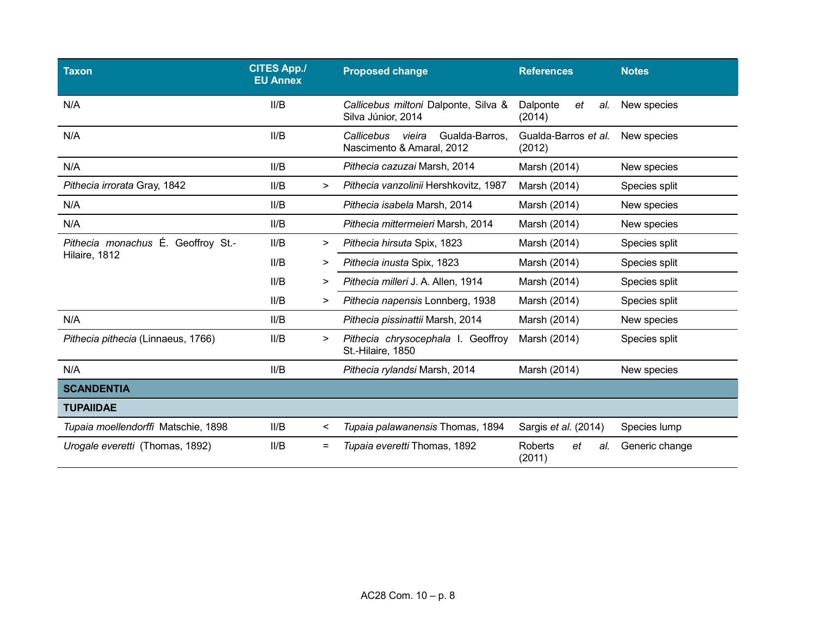| <b>Taxon</b>                        | <b>CITES App./</b><br><b>EU Annex</b> |          | <b>Proposed change</b>                                              | <b>References</b>                     | <b>Notes</b>   |
|-------------------------------------|---------------------------------------|----------|---------------------------------------------------------------------|---------------------------------------|----------------|
| N/A                                 | II/B                                  |          | Callicebus miltoni Dalponte, Silva &<br>Silva Júnior, 2014          | Dalponte<br>et<br>al.<br>(2014)       | New species    |
| N/A                                 | II/B                                  |          | Gualda-Barros,<br>Callicebus<br>vieira<br>Nascimento & Amaral, 2012 | Gualda-Barros et al.<br>(2012)        | New species    |
| N/A                                 | II/B                                  |          | Pithecia cazuzai Marsh, 2014                                        | Marsh (2014)                          | New species    |
| Pithecia irrorata Gray, 1842        | II/B                                  | >        | Pithecia vanzolinii Hershkovitz, 1987                               | Marsh (2014)                          | Species split  |
| N/A                                 | II/B                                  |          | Pithecia isabela Marsh, 2014                                        | Marsh (2014)                          | New species    |
| N/A                                 | II/B                                  |          | Pithecia mittermeieri Marsh, 2014                                   | Marsh (2014)                          | New species    |
| Pithecia monachus É. Geoffroy St.-  | II/B                                  | >        | Pithecia hirsuta Spix, 1823                                         | Marsh (2014)                          | Species split  |
| Hilaire, 1812                       | II/B                                  | >        | Pithecia inusta Spix, 1823                                          | Marsh (2014)                          | Species split  |
|                                     | II/B                                  | $\geq$   | Pithecia milleri J. A. Allen, 1914                                  | Marsh (2014)                          | Species split  |
|                                     | II/B                                  | >        | Pithecia napensis Lonnberg, 1938                                    | Marsh (2014)                          | Species split  |
| N/A                                 | II/B                                  |          | Pithecia pissinattii Marsh, 2014                                    | Marsh (2014)                          | New species    |
| Pithecia pithecia (Linnaeus, 1766)  | II/B                                  | >        | Pithecia chrysocephala I. Geoffroy<br>St.-Hilaire, 1850             | Marsh (2014)                          | Species split  |
| N/A                                 | II/B                                  |          | Pithecia rylandsi Marsh, 2014                                       | Marsh (2014)                          | New species    |
| <b>SCANDENTIA</b>                   |                                       |          |                                                                     |                                       |                |
| <b>TUPAIIDAE</b>                    |                                       |          |                                                                     |                                       |                |
| Tupaia moellendorffi Matschie, 1898 | II/B                                  | $\,<\,$  | Tupaia palawanensis Thomas, 1894                                    | Sargis et al. (2014)                  | Species lump   |
| Urogale everetti (Thomas, 1892)     | II/B                                  | $\equiv$ | Tupaia everetti Thomas, 1892                                        | <b>Roberts</b><br>et<br>al.<br>(2011) | Generic change |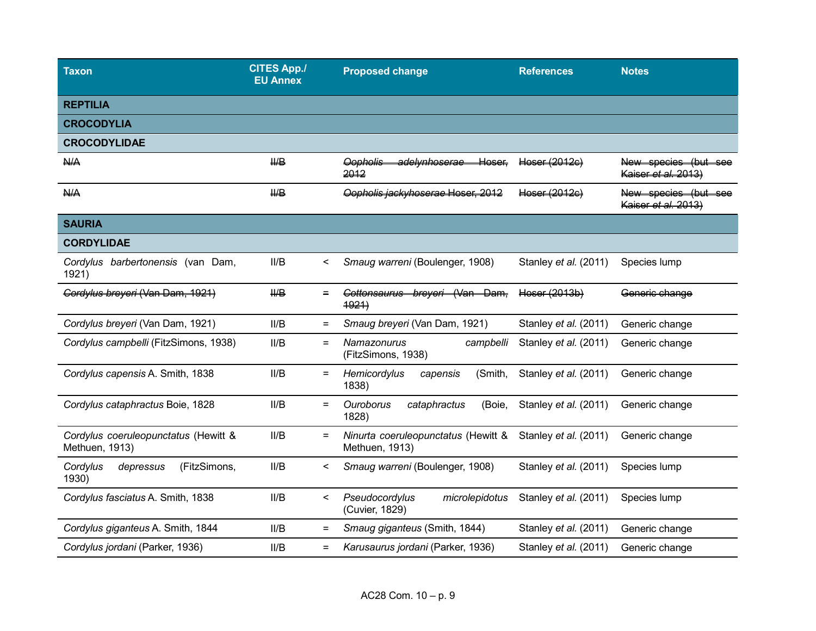| <b>Taxon</b>                                           | <b>CITES App./</b><br><b>EU Annex</b> | <b>Proposed change</b>                                                   | <b>References</b>     | <b>Notes</b>                                |
|--------------------------------------------------------|---------------------------------------|--------------------------------------------------------------------------|-----------------------|---------------------------------------------|
| <b>REPTILIA</b>                                        |                                       |                                                                          |                       |                                             |
| <b>CROCODYLIA</b>                                      |                                       |                                                                          |                       |                                             |
| <b>CROCODYLIDAE</b>                                    |                                       |                                                                          |                       |                                             |
| H/A                                                    | $H\!\!\!\!/\,\blacksquare$            | <del>adelvnhoserae</del><br><del>Hoser.</del><br><b>Oopholis</b><br>2012 | Hoser (2012c)         | New species (but see<br>Kaiser et al. 2013) |
| A                                                      | $H\rightarrow$                        | Copholis jackyhoserae Hoser, 2012                                        | Haear (2012c)         | New species (but see<br>Kaiser et al. 2013) |
| <b>SAURIA</b>                                          |                                       |                                                                          |                       |                                             |
| <b>CORDYLIDAE</b>                                      |                                       |                                                                          |                       |                                             |
| Cordylus barbertonensis (van Dam,<br>1921)             | II/B<br>$\,<\,$                       | Smaug warreni (Boulenger, 1908)                                          | Stanley et al. (2011) | Species lump                                |
| Gordylus breyeri (Van Dam, 1921)                       | $H\!P$<br>$\equiv$                    | Cottonsaurus breveri (Van Dam.<br>4921                                   | Hoser (2013b)         | Generic change                              |
| Cordylus breyeri (Van Dam, 1921)                       | II/B<br>$=$                           | Smaug breyeri (Van Dam, 1921)                                            | Stanley et al. (2011) | Generic change                              |
| Cordylus campbelli (FitzSimons, 1938)                  | II/B<br>$=$                           | Namazonurus<br>campbelli<br>(FitzSimons, 1938)                           | Stanley et al. (2011) | Generic change                              |
| Cordylus capensis A. Smith, 1838                       | II/B<br>$=$                           | Hemicordylus<br>(Smith,<br>capensis<br>1838)                             | Stanley et al. (2011) | Generic change                              |
| Cordylus cataphractus Boie, 1828                       | II/B<br>$=$                           | Ouroborus<br>cataphractus<br>(Boie,<br>1828)                             | Stanley et al. (2011) | Generic change                              |
| Cordylus coeruleopunctatus (Hewitt &<br>Methuen, 1913) | II/B<br>$\equiv$                      | Ninurta coeruleopunctatus (Hewitt &<br>Methuen, 1913)                    | Stanley et al. (2011) | Generic change                              |
| (FitzSimons,<br>Cordylus<br>depressus<br>1930)         | II/B<br>$\,<\,$                       | Smaug warreni (Boulenger, 1908)                                          | Stanley et al. (2011) | Species lump                                |
| Cordylus fasciatus A. Smith, 1838                      | II/B<br>$\,<\,$                       | Pseudocordylus<br>microlepidotus<br>(Cuvier, 1829)                       | Stanley et al. (2011) | Species lump                                |
| Cordylus giganteus A. Smith, 1844                      | II/B<br>$=$                           | Smaug giganteus (Smith, 1844)                                            | Stanley et al. (2011) | Generic change                              |
| Cordylus jordani (Parker, 1936)                        | II/B<br>$\equiv$                      | Karusaurus jordani (Parker, 1936)                                        | Stanley et al. (2011) | Generic change                              |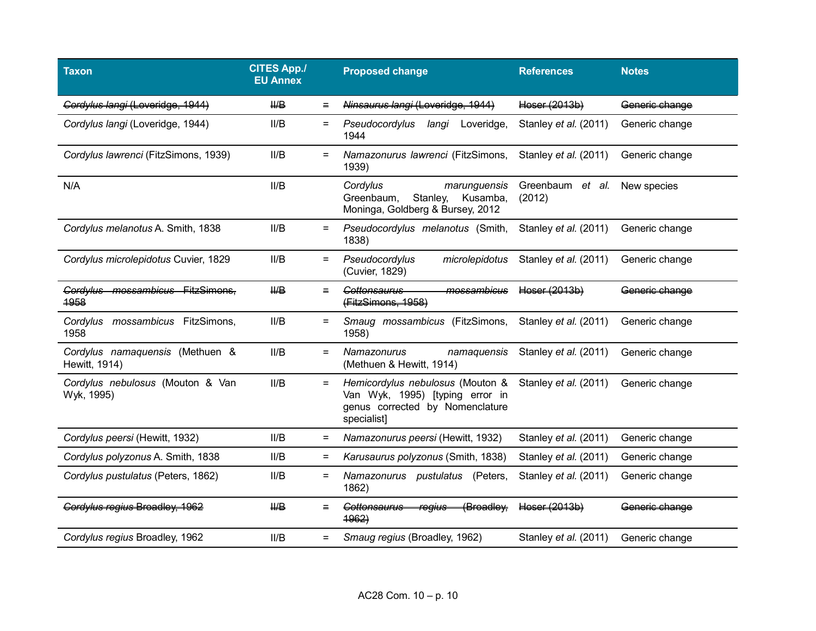| <b>Taxon</b>                                     | <b>CITES App./</b><br><b>EU Annex</b> |                   | <b>Proposed change</b>                                                                                                | <b>References</b>          | <b>Notes</b>   |
|--------------------------------------------------|---------------------------------------|-------------------|-----------------------------------------------------------------------------------------------------------------------|----------------------------|----------------|
| Cordylus langi (Loveridge, 1944)                 | $H\!\!\!\!/\,\Box$                    | $=$               | Ninsaurus langi (Loveridge, 1944)                                                                                     | Heser (2013b)              | Generic change |
| Cordylus langi (Loveridge, 1944)                 | II/B                                  | $=$               | Pseudocordylus<br>langi<br>Loveridge,<br>1944                                                                         | Stanley et al. (2011)      | Generic change |
| Cordylus lawrenci (FitzSimons, 1939)             | II/B                                  | $\equiv$          | Namazonurus lawrenci (FitzSimons,<br>1939)                                                                            | Stanley et al. (2011)      | Generic change |
| N/A                                              | II/B                                  |                   | Cordylus<br>marunguensis<br>Greenbaum,<br>Stanley,<br>Kusamba,<br>Moninga, Goldberg & Bursey, 2012                    | Greenbaum et al.<br>(2012) | New species    |
| Cordylus melanotus A. Smith, 1838                | II/B                                  | $=$               | Pseudocordylus melanotus (Smith,<br>1838)                                                                             | Stanley et al. (2011)      | Generic change |
| Cordylus microlepidotus Cuvier, 1829             | II/B                                  | $=$               | Pseudocordylus<br>microlepidotus<br>(Cuvier, 1829)                                                                    | Stanley et al. (2011)      | Generic change |
| Cordylus mossambicus<br>FitzSimons.<br>4958      | $H\!\!\!\!/\,\blacksquare$            | $=$               | mossambicus<br><del>Cottonsaurus</del><br>(FitzSimons, 1958)                                                          | Heser (2013b)              | Generic change |
| mossambicus FitzSimons,<br>Cordylus<br>1958      | II/B                                  | $=$               | Smaug mossambicus (FitzSimons,<br>1958)                                                                               | Stanley et al. (2011)      | Generic change |
| Cordylus namaquensis (Methuen &<br>Hewitt, 1914) | II/B                                  | $=$               | Namazonurus<br>namaquensis<br>(Methuen & Hewitt, 1914)                                                                | Stanley et al. (2011)      | Generic change |
| Cordylus nebulosus (Mouton & Van<br>Wyk, 1995)   | II/B                                  | $=$               | Hemicordylus nebulosus (Mouton &<br>Van Wyk, 1995) [typing error in<br>genus corrected by Nomenclature<br>specialist] | Stanley et al. (2011)      | Generic change |
| Cordylus peersi (Hewitt, 1932)                   | II/B                                  | $\equiv$          | Namazonurus peersi (Hewitt, 1932)                                                                                     | Stanley et al. (2011)      | Generic change |
| Cordylus polyzonus A. Smith, 1838                | II/B                                  | $=$               | Karusaurus polyzonus (Smith, 1838)                                                                                    | Stanley et al. (2011)      | Generic change |
| Cordylus pustulatus (Peters, 1862)               | II/B                                  | $=$               | Namazonurus pustulatus<br>(Peters,<br>1862)                                                                           | Stanley et al. (2011)      | Generic change |
| Cordylus regius Broadley, 1962                   | $H\!\!\!\!/\,\blacksquare$            | $=$               | (Broadley,<br><b>Cottonsaurus</b><br><b>regius</b><br>4962                                                            | Heser (2013b)              | Generic change |
| Cordylus regius Broadley, 1962                   | II/B                                  | $\qquad \qquad =$ | Smaug regius (Broadley, 1962)                                                                                         | Stanley et al. (2011)      | Generic change |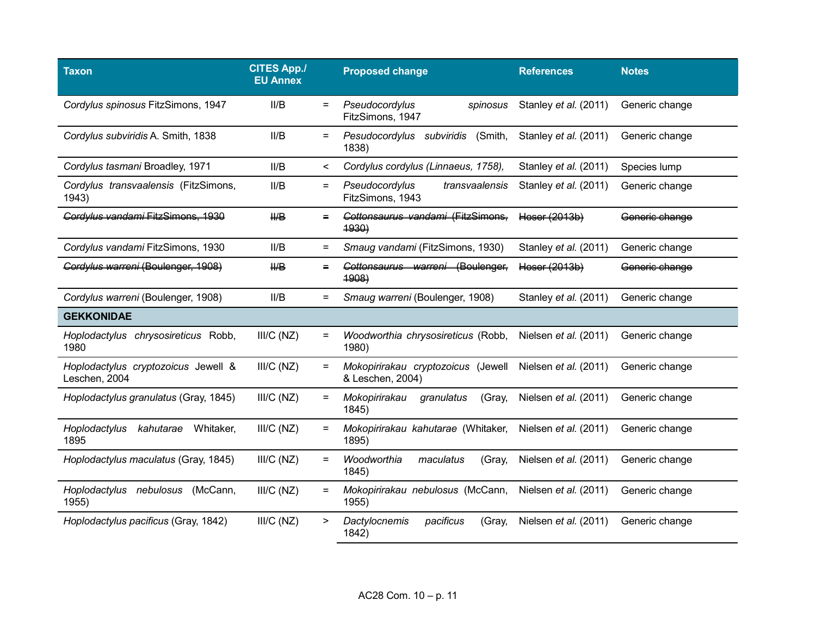| <b>Taxon</b>                                         | <b>CITES App./</b><br><b>EU Annex</b> |          | <b>Proposed change</b>                                  | <b>References</b>     | <b>Notes</b>   |
|------------------------------------------------------|---------------------------------------|----------|---------------------------------------------------------|-----------------------|----------------|
| Cordylus spinosus FitzSimons, 1947                   | II/B                                  | $=$      | Pseudocordylus<br>spinosus<br>FitzSimons, 1947          | Stanley et al. (2011) | Generic change |
| Cordylus subviridis A. Smith, 1838                   | II/B                                  | $=$      | Pesudocordylus subviridis<br>(Smith,<br>1838)           | Stanley et al. (2011) | Generic change |
| Cordylus tasmani Broadley, 1971                      | II/B                                  | $\,<\,$  | Cordylus cordylus (Linnaeus, 1758),                     | Stanley et al. (2011) | Species lump   |
| Cordylus transvaalensis (FitzSimons,<br>1943)        | II/B                                  | $=$      | Pseudocordylus<br>transvaalensis<br>FitzSimons, 1943    | Stanley et al. (2011) | Generic change |
| Cordvlus vandami FitzSimons, 1939                    | H/B                                   | $=$      | Cottonsaurus vandami (FitzSimons.<br>4930               | Hoser (2013b)         | Generic change |
| Cordylus vandami FitzSimons, 1930                    | II/B                                  | $=$      | Smaug vandami (FitzSimons, 1930)                        | Stanley et al. (2011) | Generic change |
| Gordylus warreni (Boulenger, 1908)                   | $H\!\!\!\!P$                          | $=$      | (Boulenger,<br><del>Cottonsaurus warreni</del><br>4908) | Heser (2013b)         | Generic change |
| Cordylus warreni (Boulenger, 1908)                   | II/B                                  | $=$      | Smaug warreni (Boulenger, 1908)                         | Stanley et al. (2011) | Generic change |
| <b>GEKKONIDAE</b>                                    |                                       |          |                                                         |                       |                |
| Hoplodactylus chrysosireticus Robb,<br>1980          | III/C (NZ)                            | $\equiv$ | Woodworthia chrysosireticus (Robb,<br>1980)             | Nielsen et al. (2011) | Generic change |
| Hoplodactylus cryptozoicus Jewell &<br>Leschen, 2004 | III/C(NZ)                             | $=$      | Mokopirirakau cryptozoicus (Jewell<br>& Leschen, 2004)  | Nielsen et al. (2011) | Generic change |
| Hoplodactylus granulatus (Gray, 1845)                | III/C(NZ)                             | $=$      | Mokopirirakau<br>granulatus<br>(Gray,<br>1845)          | Nielsen et al. (2011) | Generic change |
| Hoplodactylus<br>kahutarae<br>Whitaker,<br>1895      | III/C(NZ)                             | $\equiv$ | Mokopirirakau kahutarae (Whitaker,<br>1895)             | Nielsen et al. (2011) | Generic change |
| Hoplodactylus maculatus (Gray, 1845)                 | III/C(NZ)                             | $=$      | Woodworthia<br>maculatus<br>(Gray,<br>1845)             | Nielsen et al. (2011) | Generic change |
| (McCann,<br>Hoplodactylus nebulosus<br>1955)         | III/C(NZ)                             | $=$      | Mokopirirakau nebulosus (McCann,<br>1955)               | Nielsen et al. (2011) | Generic change |
| Hoplodactylus pacificus (Gray, 1842)                 | III/C(NZ)                             | >        | Dactylocnemis<br>pacificus<br>(Gray,<br>1842)           | Nielsen et al. (2011) | Generic change |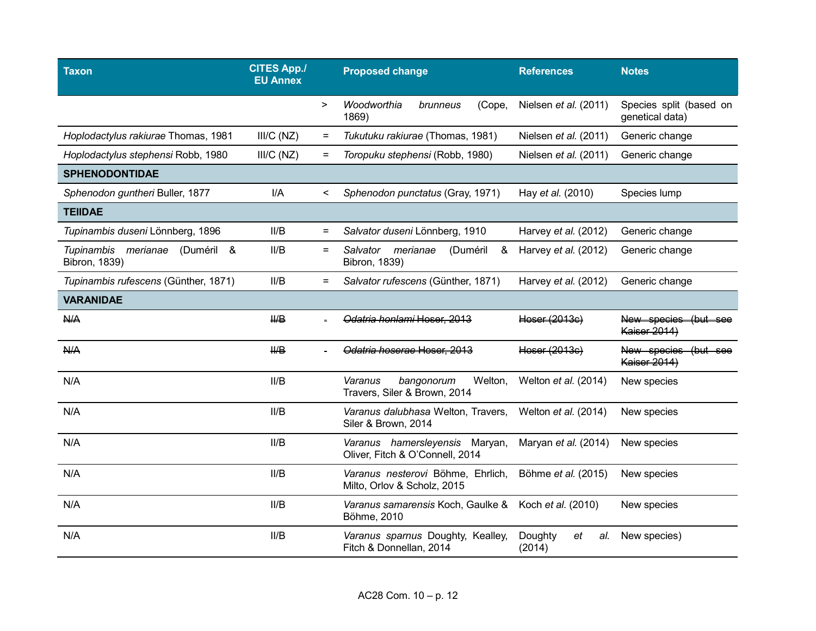| <b>Taxon</b>                                                 | <b>CITES App./</b><br><b>EU Annex</b> |           | <b>Proposed change</b>                                            | <b>References</b>              | <b>Notes</b>                               |
|--------------------------------------------------------------|---------------------------------------|-----------|-------------------------------------------------------------------|--------------------------------|--------------------------------------------|
|                                                              |                                       | $\, > \,$ | Woodworthia<br>(Cope,<br>brunneus<br>1869)                        | Nielsen et al. (2011)          | Species split (based on<br>genetical data) |
| Hoplodactylus rakiurae Thomas, 1981                          | III/C(NZ)                             | $=$       | Tukutuku rakiurae (Thomas, 1981)                                  | Nielsen et al. (2011)          | Generic change                             |
| Hoplodactylus stephensi Robb, 1980                           | III/C (NZ)                            | $=$       | Toropuku stephensi (Robb, 1980)                                   | Nielsen et al. (2011)          | Generic change                             |
| <b>SPHENODONTIDAE</b>                                        |                                       |           |                                                                   |                                |                                            |
| Sphenodon guntheri Buller, 1877                              | I/A                                   | $\,<\,$   | Sphenodon punctatus (Gray, 1971)                                  | Hay et al. (2010)              | Species lump                               |
| <b>TEIIDAE</b>                                               |                                       |           |                                                                   |                                |                                            |
| Tupinambis duseni Lönnberg, 1896                             | II/B                                  | $\equiv$  | Salvator duseni Lönnberg, 1910                                    | Harvey et al. (2012)           | Generic change                             |
| (Duméril &<br><b>Tupinambis</b><br>merianae<br>Bibron, 1839) | II/B                                  | $=$       | Salvator<br>merianae<br>(Duméril<br>&<br>Bibron, 1839)            | Harvey et al. (2012)           | Generic change                             |
| Tupinambis rufescens (Günther, 1871)                         | II/B                                  | $\equiv$  | Salvator rufescens (Günther, 1871)                                | Harvey et al. (2012)           | Generic change                             |
| <b>VARANIDAE</b>                                             |                                       |           |                                                                   |                                |                                            |
| <b>N/A</b>                                                   | $H\rightarrow$                        |           | Odatria honlami Hoser, 2013                                       | Heser (2013e)                  | New species (but see<br>Kaiser 2014)       |
| <b>N/A</b>                                                   | $H\!H\!B$                             |           | Odatria hoserae Hoser, 2013                                       | Heser (2013e)                  | New species (but see<br>Kaiser 2014)       |
| N/A                                                          | II/B                                  |           | Varanus<br>bangonorum<br>Welton,<br>Travers, Siler & Brown, 2014  | Welton et al. (2014)           | New species                                |
| N/A                                                          | II/B                                  |           | Varanus dalubhasa Welton, Travers,<br>Siler & Brown, 2014         | Welton et al. (2014)           | New species                                |
| N/A                                                          | II/B                                  |           | Varanus hamersleyensis Maryan,<br>Oliver, Fitch & O'Connell, 2014 | Maryan et al. (2014)           | New species                                |
| N/A                                                          | II/B                                  |           | Varanus nesterovi Böhme, Ehrlich,<br>Milto, Orlov & Scholz, 2015  | Böhme et al. (2015)            | New species                                |
| N/A                                                          | IIB                                   |           | Varanus samarensis Koch, Gaulke &<br>Böhme, 2010                  | Koch et al. (2010)             | New species                                |
| N/A                                                          | II/B                                  |           | Varanus sparnus Doughty, Kealley,<br>Fitch & Donnellan, 2014      | Doughty<br>al.<br>et<br>(2014) | New species)                               |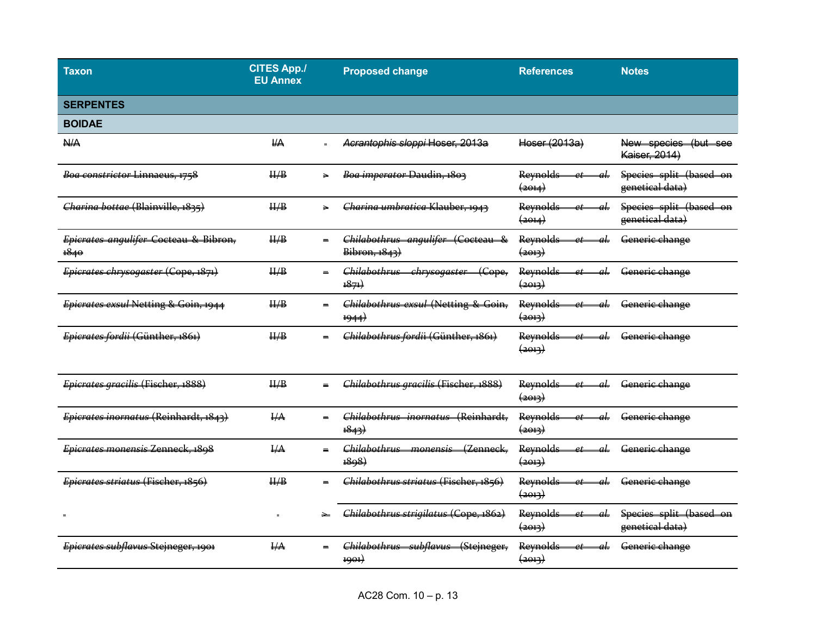| Taxon                                         | <b>CITES App./</b><br><b>EU Annex</b> |     | <b>Proposed change</b>                                                          | <b>References</b>                                   | <b>Notes</b>                               |
|-----------------------------------------------|---------------------------------------|-----|---------------------------------------------------------------------------------|-----------------------------------------------------|--------------------------------------------|
| <b>SERPENTES</b>                              |                                       |     |                                                                                 |                                                     |                                            |
| <b>BOIDAE</b>                                 |                                       |     |                                                                                 |                                                     |                                            |
| <b>N/A</b>                                    | $H\rightarrow$                        |     | Acrantophis sloppi Hoser, 2013a                                                 | Hoser (2013a)                                       | New species (but see<br>Kaiser, 2014)      |
| Boa constrictor Linnaeus, 1758                | H/B                                   | ↘   | Boa imperator Daudin, 1803                                                      | Reynolds<br>$\left( \frac{2014}{2} \right)$         | Species split (based on<br>genetical data) |
| Charina bottae (Blainville, 1835)             | H/B                                   |     | Charina umbratica Klauber, 1943                                                 | Reynolds<br>$\left( \frac{2014}{2} \right)$         | Species split (based on<br>genetical data) |
| Epicrates angulifer Cocteau & Bibron,<br>1840 | $\frac{\text{II}}{\text{B}}$          |     | Chilabothrus angulifer (Cocteau &<br>Bibron, 1843)                              | Reynolds<br>$\left( \frac{2013}{2} \right)$         | Generic change                             |
| Epicrates chrysogaster (Cope, 1871)           | H/B                                   |     | <del>Chilabothrus</del><br>$\epsilon$ Cope,<br><del>chrysogaster</del><br>1871) | Reynolds<br>$\left( \frac{1}{2}$                    | Generie change                             |
| Epicrates exsul Netting & Goin, 1944          | H/B                                   | $=$ | Chilabothrus exsul (Netting & Goin,<br>1944                                     | Reynolds<br>$\left( \frac{1}{2}$                    | Generie change                             |
| Epicrates fordii (Günther, 1861)              | H/B                                   |     | Chilabothrus fordii (Günther, 1861)                                             | Reynolds<br>$\left( \frac{2013}{2} \right)$         | Generic change                             |
| Epierates graeilis (Fischer, 1888)            | H/B                                   |     | Chilabothrus gracilis (Fischer, 1888)                                           | Reynolds<br>$\left( \frac{1}{2}$                    | Generie change                             |
| Epicrates inornatus (Reinhardt, 1843)         | $H\rightarrow$                        |     | Chilabothrus inornatus (Reinhardt,<br>$\frac{18}{4}$                            | Reynolds<br>$\left( \frac{1}{2}$                    | Generie change                             |
| Epicrates monensis Zenneck, 1898              | $\frac{\text{HA}}{\text{HA}}$         |     | Chilabothrus monensis<br>(Zenneck<br>1898)                                      | Reynolds<br>$\left( \frac{1}{2} \Theta + 3 \right)$ | Generic change                             |
| Epicrates striatus (Fischer, 1856)            | $\frac{\text{II}}{\text{B}}$          |     | Chilabothrus striatus (Fischer, 1856)                                           | Reynolds<br>$\left( \frac{2013}{2} \right)$         | Generic change                             |
|                                               | $=$                                   |     | Chilabothrus strigilatus (Cope, 1862)                                           | Reynolds<br>$\left( \frac{2013}{2} \right)$         | Species split (based on<br>genetical data) |
| Epierates subflavus Stejneger, 1901           | $H\rightarrow$                        |     | <del>Chilabothrus</del><br><del>subflavus</del><br>(Stejneger,<br>1901)         | Reynolds<br>$\left( \frac{1}{2}$                    | Generie change                             |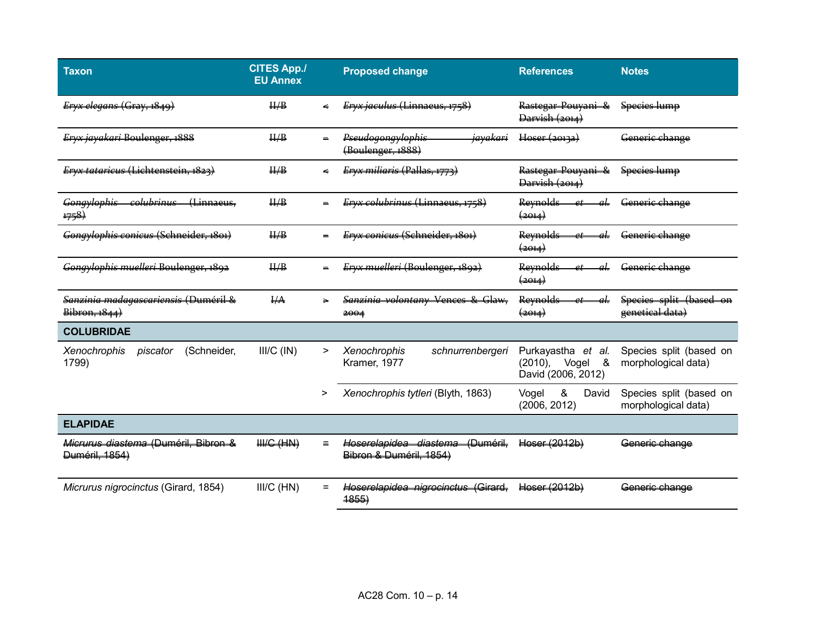| <b>Taxon</b>                                           | <b>CITES App./</b><br><b>EU Annex</b> |     | <b>Proposed change</b>                                        | <b>References</b>                                                    | <b>Notes</b>                                   |
|--------------------------------------------------------|---------------------------------------|-----|---------------------------------------------------------------|----------------------------------------------------------------------|------------------------------------------------|
| Eryx elegans (Gray, 1849)                              | H/B                                   |     | <del>Eryx jaculus (Linnaeus, 1758)</del>                      | Rastegar-Pouyani &<br>Darvish (2014)                                 | Species lump                                   |
| Eryx jayakari Boulenger, 1888                          | H/B                                   |     | Pseudogongylophis<br><del>jayakari</del><br>(Boulenger, 1888) | Hoser (20132)                                                        | Generic change                                 |
| Ervx tataricus (Lichtenstein, 1827)                    | H/B                                   |     | Ervx miliaris (Pallas,                                        | Rastegar-Pouyani &<br>Darvish (2014)                                 | Species lump                                   |
| colubrinus<br>(Linnaeus,<br>Gongylophis<br>#58)        | H/B                                   |     | Eryx colubrinus (Linnaeus, 1758)                              | Reynolds<br>$\left( \frac{1}{2014} \right)$                          | Generic change                                 |
| Gongylophis conicus (Schneider, 1801)                  | H/B                                   |     | Eryx conicus (Schneider, 1801)                                | Reynolds<br>$\left( \frac{1}{2} \Theta + 1 \right)$                  | Generic change                                 |
| Gongylophis muelleri Boulenger, 1892                   | H/B                                   |     | Eryx muelleri (Boulenger, 1892)                               | Reynolds<br>$\left( \frac{1}{2} + 1 \right)$                         | Generie change                                 |
| Sanzinia madagascariensis (Duméril &<br>Bibron, 1844)  | $H_{\rm A}$                           |     | Sanzinia volontany Vences & Glaw-<br>2004                     | Reynolds<br>$\left( \frac{1}{2014} \right)$                          | Species split (based on<br>genetical data)     |
| <b>COLUBRIDAE</b>                                      |                                       |     |                                                               |                                                                      |                                                |
| Xenochrophis<br>(Schneider,<br>piscator<br>1799)       | $III/C$ ( $IN$ )                      | >   | <b>Xenochrophis</b><br>schnurrenbergeri<br>Kramer, 1977       | Purkayastha et al.<br>$(2010)$ ,<br>&<br>Vogel<br>David (2006, 2012) | Species split (based on<br>morphological data) |
|                                                        |                                       | >   | Xenochrophis tytleri (Blyth, 1863)                            | &<br>David<br>Vogel<br>(2006, 2012)                                  | Species split (based on<br>morphological data) |
| <b>ELAPIDAE</b>                                        |                                       |     |                                                               |                                                                      |                                                |
| Micrurus diastema (Duméril, Bibron &<br>Duméril, 1854) | $HHC$ (HN)                            |     | Hoserelapidea diastema (Duméril,<br>Bibron & Duméril, 1854)   | Heser (2012b)                                                        | Generic change                                 |
| Micrurus nigrocinctus (Girard, 1854)                   | III/C (HN)                            | $=$ | Hoserelapidea nigrocinctus (Girard,<br>4855                   | Hoser (2012b)                                                        | Generic change                                 |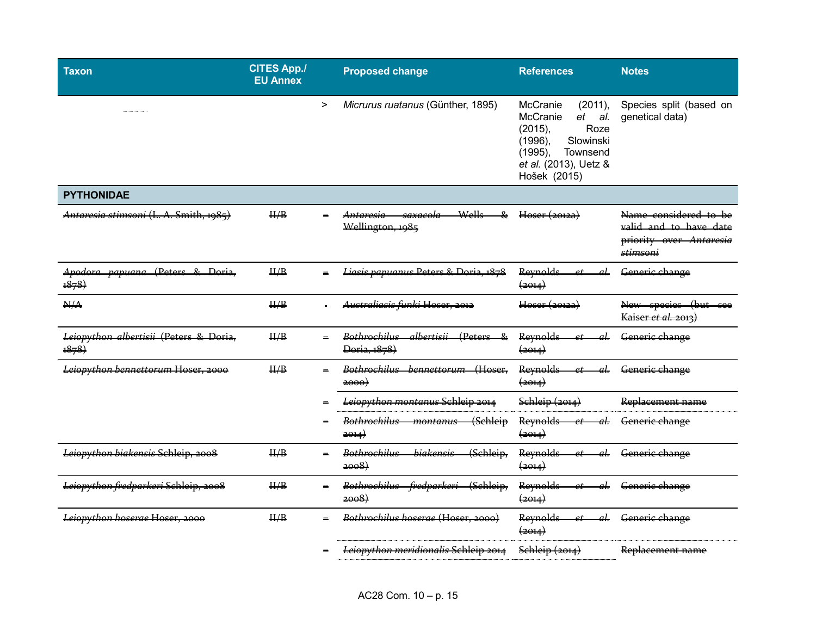| <b>Taxon</b>                                   | <b>CITES App./</b><br><b>EU Annex</b> |          | <b>Proposed change</b>                                                        | <b>References</b>                                                                                                                                       | <b>Notes</b>                                                                           |
|------------------------------------------------|---------------------------------------|----------|-------------------------------------------------------------------------------|---------------------------------------------------------------------------------------------------------------------------------------------------------|----------------------------------------------------------------------------------------|
|                                                |                                       | $\,>$    | Micrurus ruatanus (Günther, 1895)                                             | McCranie<br>(2011),<br>McCranie<br>et al.<br>(2015),<br>Roze<br>Slowinski<br>$(1996)$ ,<br>(1995),<br>Townsend<br>et al. (2013), Uetz &<br>Hošek (2015) | Species split (based on<br>genetical data)                                             |
| <b>PYTHONIDAE</b>                              |                                       |          |                                                                               |                                                                                                                                                         |                                                                                        |
| Antaresia stimsoni (L. A. Smith, 1985)         | H/B                                   | $\equiv$ | Wells<br><del>saxacola</del><br>&<br><del>Antaresia</del><br>Wellington, 1985 | Hoser (2012a)                                                                                                                                           | Name considered to be<br>valid and to have date<br>priority over Antaresia<br>stimsoni |
| Apodora papuana (Peters & Doria.<br>1878       | H/B                                   |          | Liasis papuanus Peters & Doria, 1878                                          | <b>Reynolds</b><br>aL<br>et.<br>$\left( \frac{1}{2014} \right)$                                                                                         | Generic change                                                                         |
| N/A                                            | $\frac{\text{II}}{\text{B}}$          |          | Australiasis funki Hoser, 2012                                                | Hoser (20122)                                                                                                                                           | New species (but<br>Kaiser et al. 2013)                                                |
| Leiopython albertisii (Peters & Doria,<br>1878 | H/B                                   |          | <del>albertisii</del><br>(Peters &<br>Bothrochilus<br>Doria, 1878)            | <b>Reynolds</b><br>$\left( \frac{1}{2} \Theta + 1 \right)$                                                                                              | Generie change                                                                         |
| Leiopython bennettorum Hoser, 2000             | H/B                                   | $\equiv$ | Bothrochilus<br>Hoser<br><del>bennettorum</del><br>2000                       | Reynolds<br>$\left( \frac{1}{2} + 1 \right)$                                                                                                            | Generie change                                                                         |
|                                                |                                       |          | Leiopython montanus Schleip 2014                                              | $\frac{\text{Schleip}(2014)}{}$                                                                                                                         | Replacement name                                                                       |
|                                                |                                       |          | <u> Rothrochilus -</u><br>(Schleip<br>montanus<br>2014                        | Reynolds<br>$\rho t$<br>$\left( 2014\right)$                                                                                                            | Generic change                                                                         |
| Leiopython biakensis Schleip, 2008             | $\frac{\text{II}}{\text{B}}$          |          | (Schleip,<br><b>Rothrochilus</b><br>biakensis<br>2008                         | Reynolds<br>$\left( \frac{1}{2014} \right)$                                                                                                             | Generic change                                                                         |
| Leiopython fredparkeri Schleip, 2008           | H/B                                   | $=$      | Bothrochilus fredparkeri (Schleip,<br>2008                                    | <b>Reynolds</b><br>$\left( \frac{201}{4} \right)$                                                                                                       | Generie change                                                                         |
| Leiopython hoserae Hoser, 2000                 | H/B                                   | $\equiv$ | Bothrochilus hoserae (Hoser, 2000)                                            | Reynolds-<br>al.<br>$et-$<br>$\left( \frac{1}{2} + 1 \right)$                                                                                           | Generie change                                                                         |
|                                                |                                       |          | Leiopython meridionalis Schleip 2014                                          | Schleip (2014)                                                                                                                                          | Replacement name                                                                       |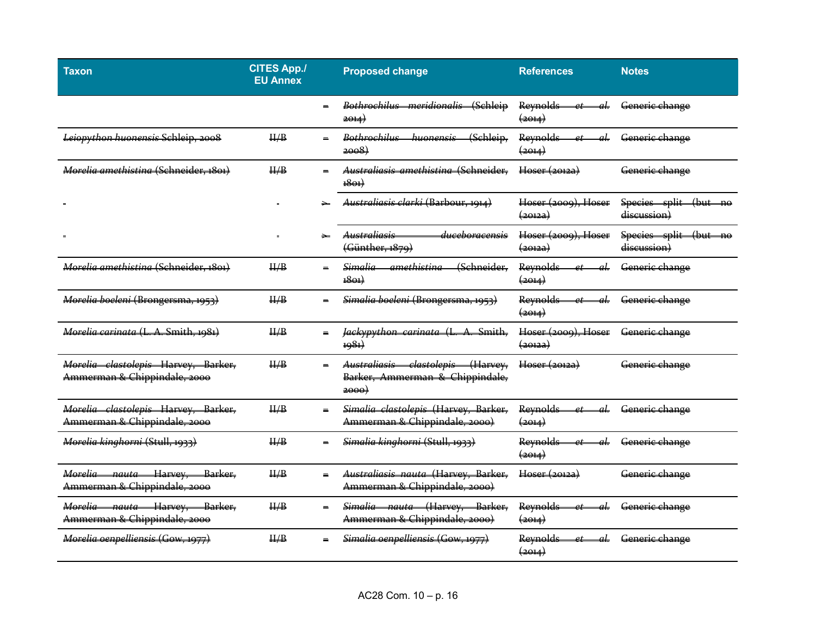| Taxon                                                                         | <b>CITES App./</b><br><b>EU Annex</b> |          | <b>Proposed change</b>                                                          | <b>References</b>                                                                  | <b>Notes</b>                                |
|-------------------------------------------------------------------------------|---------------------------------------|----------|---------------------------------------------------------------------------------|------------------------------------------------------------------------------------|---------------------------------------------|
|                                                                               |                                       |          | Bothrochilus meridionalis<br>(Sehleip<br>$\rightarrow 4$                        | Reynolds<br>al.<br><del>(2014)</del>                                               | Generie change                              |
| Leiopython huonensis Schleip, 2008                                            | $\frac{\text{II}}{\text{B}}$          |          | Bothrochilus<br>huonensis<br>(Schleip,<br>2008                                  | Reynolds<br>$\rho t$<br>$\left( \frac{1}{2} + 1 \right)$                           | Generic change                              |
| Morelia amethisting (Schneider, 1891)                                         | H/B                                   |          | Australiasis amethisting (Schneider,<br>1801                                    | Hoser (20122)                                                                      | Generic change                              |
|                                                                               |                                       |          | Australiasis clarki (Barbour, 1914)                                             | Hoser (2009), Hoser<br><del>(2012a)</del>                                          | Species split<br>$4$ but<br>discussion)     |
|                                                                               |                                       |          | <del>Australiasis</del><br><del>duceboracensis</del><br>(Günther, 1879)         | Hoser (2009), Hoser<br><del>(20122)</del>                                          | Species split (but<br>$-$ no<br>discussion) |
| Morelia amethistina (Schneider, 1801)                                         | H/B                                   |          | <del>amethistina</del><br>(Sehneider,<br>Simalia<br>$+8e+$                      | Reynolds<br>ρt<br>$\left( \frac{1}{2} \Theta + 4 \right)$                          | Generie change                              |
| Morelia boeleni (Brongersma, 1953)                                            | $\frac{\text{II}}{\text{B}}$          |          | Simalia boeleni (Brongersma, 1953)                                              | <b>Reynolds</b><br>at.<br>et<br>$\left( \frac{1}{2} + 1 \right)$                   | Generic change                              |
| Morelia carinata (L. A. Smith, 1981)                                          | $\frac{\text{II}}{\text{B}}$          |          | Jackypython carinata (L<br>Smith,<br>$\Delta$<br>1981)                          | Hoser (2009), Hoser<br><del>(2012a)</del>                                          | Generic change                              |
| Morelia clastolepis Harvey, Barker,<br>Ammerman & Chippindale, 2000           | II/B                                  |          | clastolepis (Harvey,<br>Australiasis<br>Barker, Ammerman & Chippindale,<br>2000 | Hoser (20122)                                                                      | Generic change                              |
| Morelia clastolepis Harvey, Barker,<br>Ammerman & Chippindale, 2000           | H/B                                   | $\equiv$ | Simalia clastolepis (Harvey, Barker,<br>Ammerman & Chippindale, 2000)           | Reynolds<br>$d_{\mathbf{r}}$<br>$\mathfrak{a}$<br>$\left( \frac{1}{2} + 1 \right)$ | Generic change                              |
| Morelia kinghorni (Stull, 1933)                                               | $\frac{\text{II}}{\text{B}}$          |          | Simalia kinghorni (Stull, 1933)                                                 | Reynolds<br>al.<br>$\alpha$ <sub>t</sub><br>$\left( \frac{2014}{2} \right)$        | Generic change                              |
| Morelia nauta Harvey,<br>Barker,<br>Ammerman & Chippindale, 2000              | $\frac{\text{II}}{\text{B}}$          |          | Australiasis nauta (Harvey, Barker,<br>Ammerman & Chippindale, 2000)            | Hoser (20122)                                                                      | Generic change                              |
| Morelia nauta Harvey,<br><del>- Barker.</del><br>Ammerman & Chippindale, 2000 | H/B                                   |          | Simalia nauta (Harvey, Barker,<br>Ammerman & Chippindale, 2000)                 | Reynolds<br>al.<br>$_{et}$<br>$\left( \frac{1}{2} \Theta + 1 \right)$              | Generie change                              |
| Morelia oenpelliensis (Gow, 1977)                                             | H/B                                   |          | Simalia oenpelliensis (Gow, 1977)                                               | al.<br>Reynolds<br>$\left( \frac{1}{2} \Theta + 4 \right)$                         | Generic change                              |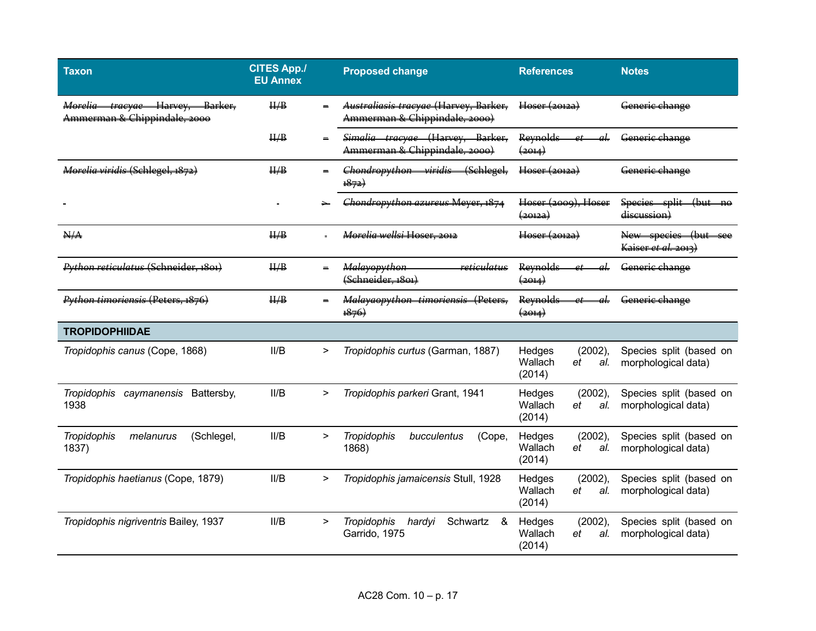| <b>Taxon</b>                                                                    | <b>CITES App./</b><br><b>EU Annex</b> |           | <b>Proposed change</b>                                                 | <b>References</b>                                             | <b>Notes</b>                                   |
|---------------------------------------------------------------------------------|---------------------------------------|-----------|------------------------------------------------------------------------|---------------------------------------------------------------|------------------------------------------------|
| Morelia tracyae Harvey,<br><del>- Barker.</del><br>Ammerman & Chippindale, 2000 | H/B                                   | $\equiv$  | Australiasis tracyae (Harvey, Barker,<br>Ammerman & Chippindale, 2000) | Hoser (2012a)                                                 | Generie change                                 |
|                                                                                 | H/B                                   |           | Simalia tracyae (Harvev. Barker.<br>Ammerman & Chippindale, 2000)      | <b>Reynolds</b><br>aL<br>$_{\rho}$ t<br>(2014)                | Generic change                                 |
| Morelia viridis (Schlegel, 1872)                                                | H/B                                   |           | Chondropython viridis<br>(Schlegel,<br>1872)                           | Hoser (20122)                                                 | Generic change                                 |
|                                                                                 |                                       |           | Chondropython azureus Meyer, 1874                                      | Hoser (2009), Hoser<br>$\left( \frac{1}{2012a} \right)$       | Species split (but no<br>discussion)           |
| N/A                                                                             | H/B                                   |           | Morelia wellsi Hoser, 2012                                             | Hoser (2012a)                                                 | New species (but see<br>Kaiser et al. 2013)    |
| Python reticulatus (Schneider, 1801)                                            | H/B                                   | $\equiv$  | <del>reticulatus</del><br><b>Malayopython</b><br>(Schneider, 1801)     | <b>Reynolds</b><br>(2014)                                     | Generie change                                 |
| Python timoriensis (Peters, 1876)                                               | $\frac{\text{II}}{\text{B}}$          |           | Malayaopython timoriensis (Peters.<br>1876                             | Reynolds<br>aL<br>$\rho$ t<br>$\left( \frac{1}{2014} \right)$ | Generic change                                 |
| <b>TROPIDOPHIIDAE</b>                                                           |                                       |           |                                                                        |                                                               |                                                |
| Tropidophis canus (Cope, 1868)                                                  | II/B                                  | >         | Tropidophis curtus (Garman, 1887)                                      | Hedges<br>(2002),<br>Wallach<br>et<br>al.<br>(2014)           | Species split (based on<br>morphological data) |
| Tropidophis caymanensis Battersby,<br>1938                                      | II/B                                  | $\geq$    | Tropidophis parkeri Grant, 1941                                        | Hedges<br>$(2002)$ ,<br>Wallach<br>al.<br>et<br>(2014)        | Species split (based on<br>morphological data) |
| (Schlegel,<br><b>Tropidophis</b><br>melanurus<br>1837)                          | II/B                                  | $\, > \,$ | Tropidophis<br>bucculentus<br>(Cope,<br>1868)                          | Hedges<br>$(2002)$ ,<br>Wallach<br>al.<br>et<br>(2014)        | Species split (based on<br>morphological data) |
| Tropidophis haetianus (Cope, 1879)                                              | II/B                                  | >         | Tropidophis jamaicensis Stull, 1928                                    | (2002),<br>Hedges<br>Wallach<br>et<br>al.<br>(2014)           | Species split (based on<br>morphological data) |
| Tropidophis nigriventris Bailey, 1937                                           | II/B                                  | $\geq$    | <b>Tropidophis</b><br>Schwartz<br>hardyi<br>&<br>Garrido, 1975         | Hedges<br>$(2002)$ ,<br>Wallach<br>al.<br>et<br>(2014)        | Species split (based on<br>morphological data) |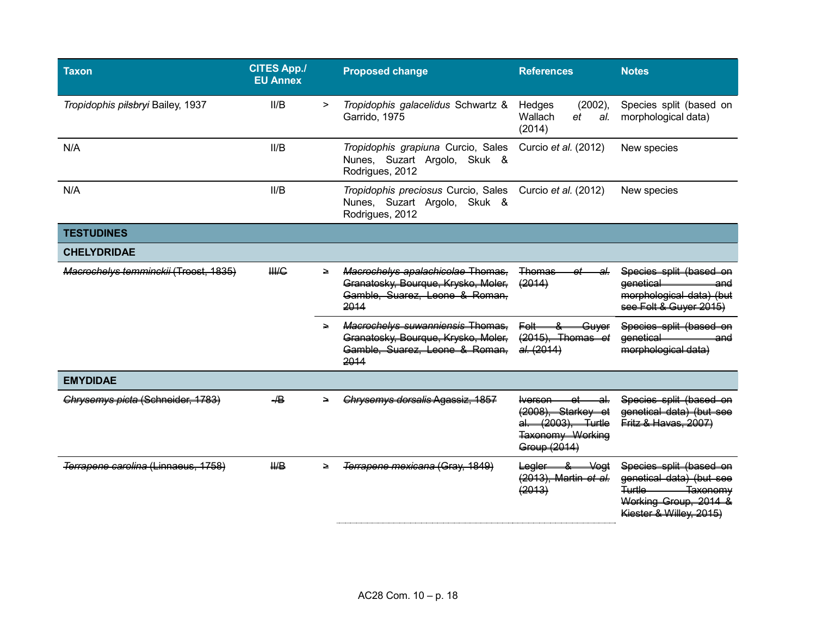| <b>Taxon</b>                          | <b>CITES App./</b><br><b>EU Annex</b> |        | <b>Proposed change</b>                                                                                                   | <b>References</b>                                                                                           | <b>Notes</b>                                                                                                                                |
|---------------------------------------|---------------------------------------|--------|--------------------------------------------------------------------------------------------------------------------------|-------------------------------------------------------------------------------------------------------------|---------------------------------------------------------------------------------------------------------------------------------------------|
| Tropidophis pilsbryi Bailey, 1937     | II/B                                  | $\geq$ | Tropidophis galacelidus Schwartz &<br>Garrido, 1975                                                                      | $(2002)$ ,<br>Hedges<br>Wallach<br>et<br>al.<br>(2014)                                                      | Species split (based on<br>morphological data)                                                                                              |
| N/A                                   | II/B                                  |        | Tropidophis grapiuna Curcio, Sales<br>Nunes, Suzart Argolo, Skuk &<br>Rodrigues, 2012                                    | Curcio et al. (2012)                                                                                        | New species                                                                                                                                 |
| N/A                                   | II/B                                  |        | Tropidophis preciosus Curcio, Sales<br>Nunes, Suzart Argolo, Skuk &<br>Rodrigues, 2012                                   | Curcio et al. (2012)                                                                                        | New species                                                                                                                                 |
| <b>TESTUDINES</b>                     |                                       |        |                                                                                                                          |                                                                                                             |                                                                                                                                             |
| <b>CHELYDRIDAE</b>                    |                                       |        |                                                                                                                          |                                                                                                             |                                                                                                                                             |
| Macrochelys temminckij (Troost, 1835) | <b>HHG</b>                            | ∍      | Macrochelys apalachicolae Thomas,<br>Granatosky, Bourque, Krysko, Moler,<br>Gamble, Suarez, Leone & Roman,<br>2014       | Thomas<br>2L<br>(2014)                                                                                      | Species split (based on<br>eenetical<br>and<br>morphological data) (but<br>see Felt & Guyer 2015)                                           |
|                                       |                                       |        | <b>Macrochelys suwanniensis Thomas,</b><br>Granatosky, Bourque, Krysko, Moler,<br>Gamble, Suarez, Leone & Roman,<br>2014 | Guver<br>Felt-<br>(2015), Thomas<br>d<br>al. (2014)                                                         | Species split (based on<br>eenetical<br>and<br>morphological data)                                                                          |
| <b>EMYDIDAE</b>                       |                                       |        |                                                                                                                          |                                                                                                             |                                                                                                                                             |
| Chrysemys picta (Schneider, 1783)     | $\overline{AB}$                       |        | Chrysemys dorsalis Agassiz, 1857                                                                                         | <del>lverson.</del><br>Starkev<br>(2008)<br>(2003)<br>ما <del>است</del><br>Taxonomy Working<br>Group (2014) | Species split (based on<br>genetical data) (but see<br>Fritz & Havas, 2007)                                                                 |
| Terrapene carolina (Linnaeus, 1758)   | $H\!\!\!\!/\,\Box$                    | ∍      | Terrapene mexicana (Grav.                                                                                                | Legler<br>8.<br>Voat<br>(2013), Martin et al.<br>(2013)                                                     | Species split (based on<br>genetical data) (but<br><b>Turtle</b><br><del>Taxonomy</del><br>Working Group, 2014 &<br>Kiester & Willey, 2015) |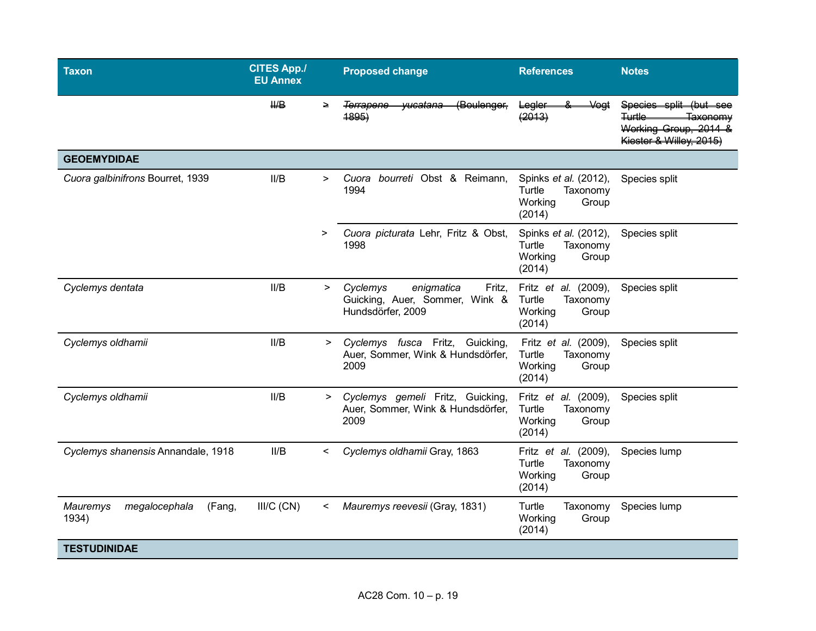| Taxon                                        | <b>CITES App./</b><br><b>EU Annex</b> |         | <b>Proposed change</b>                                                                  | <b>References</b>                                                               | <b>Notes</b>                                                                                                           |
|----------------------------------------------|---------------------------------------|---------|-----------------------------------------------------------------------------------------|---------------------------------------------------------------------------------|------------------------------------------------------------------------------------------------------------------------|
|                                              | $H\rightarrow$                        | $\geq$  | (Boulenger,<br><del>yucatana</del><br><del>Terrapene-</del><br><del>1895)</del>         | Legler<br><b>Vegt</b><br>(2013)                                                 | Species split (but see<br><del>Turtle</del><br><del>Taxonomv</del><br>Working Group, 2014 &<br>Kiester & Willey, 2015) |
| <b>GEOEMYDIDAE</b>                           |                                       |         |                                                                                         |                                                                                 |                                                                                                                        |
| Cuora galbinifrons Bourret, 1939             | II/B                                  | >       | Cuora bourreti Obst & Reimann,<br>1994                                                  | Spinks et al. (2012),<br>Turtle<br>Taxonomy<br>Working<br>Group<br>(2014)       | Species split                                                                                                          |
|                                              |                                       | $\geq$  | Cuora picturata Lehr, Fritz & Obst,<br>1998                                             | Spinks et al. (2012),<br>Turtle<br>Taxonomy<br>Working<br>Group<br>(2014)       | Species split                                                                                                          |
| Cyclemys dentata                             | II/B                                  | $\geq$  | Cyclemys<br>enigmatica<br>Fritz,<br>Guicking, Auer, Sommer, Wink &<br>Hundsdörfer, 2009 | Fritz <i>et al.</i> (2009),<br>Turtle<br>Taxonomy<br>Working<br>Group<br>(2014) | Species split                                                                                                          |
| Cyclemys oldhamii                            | II/B                                  | $\geq$  | Cyclemys fusca Fritz, Guicking,<br>Auer, Sommer, Wink & Hundsdörfer,<br>2009            | Fritz et al. (2009),<br>Turtle<br>Taxonomy<br>Working<br>Group<br>(2014)        | Species split                                                                                                          |
| Cyclemys oldhamii                            | II/B                                  | $\geq$  | Cyclemys gemeli Fritz, Guicking,<br>Auer, Sommer, Wink & Hundsdörfer,<br>2009           | Fritz et al. (2009),<br>Turtle<br>Taxonomy<br>Working<br>Group<br>(2014)        | Species split                                                                                                          |
| Cyclemys shanensis Annandale, 1918           | II/B                                  | $\,<\,$ | Cyclemys oldhamii Gray, 1863                                                            | Fritz <i>et al.</i> (2009),<br>Turtle<br>Taxonomy<br>Working<br>Group<br>(2014) | Species lump                                                                                                           |
| Mauremys<br>megalocephala<br>(Fang,<br>1934) | $III/C$ (CN)                          | <       | Mauremys reevesii (Gray, 1831)                                                          | Turtle<br>Taxonomy<br>Working<br>Group<br>(2014)                                | Species lump                                                                                                           |
| <b>TESTUDINIDAE</b>                          |                                       |         |                                                                                         |                                                                                 |                                                                                                                        |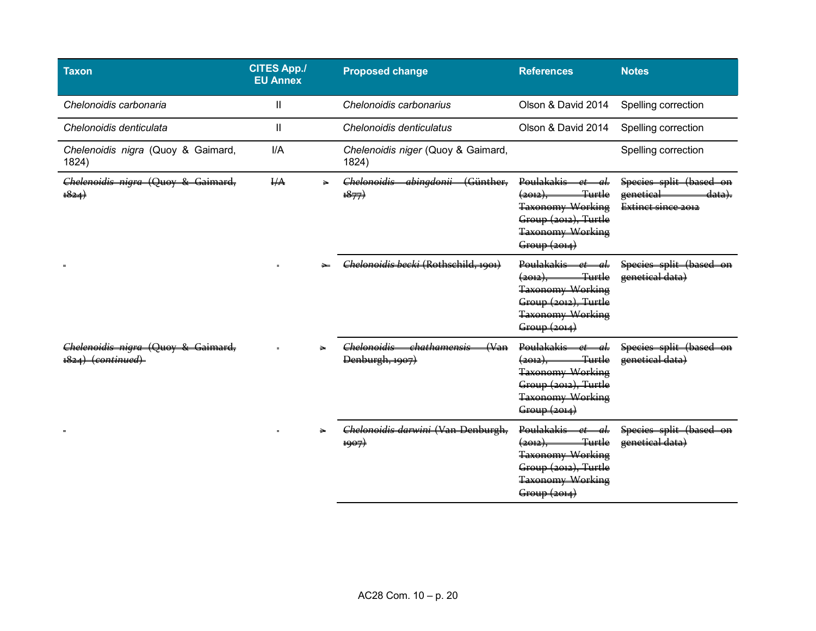| <b>Taxon</b>                                                              | <b>CITES App./</b><br><b>EU Annex</b> | <b>Proposed change</b>                                              | <b>References</b>                                                                                                                                              | <b>Notes</b>                                                                        |
|---------------------------------------------------------------------------|---------------------------------------|---------------------------------------------------------------------|----------------------------------------------------------------------------------------------------------------------------------------------------------------|-------------------------------------------------------------------------------------|
| Chelonoidis carbonaria                                                    | $\mathsf{II}$                         | Chelonoidis carbonarius                                             | Olson & David 2014                                                                                                                                             | Spelling correction                                                                 |
| Chelonoidis denticulata                                                   | Ш                                     | Chelonoidis denticulatus                                            | Olson & David 2014                                                                                                                                             | Spelling correction                                                                 |
| Chelenoidis nigra (Quoy & Gaimard,<br>1824)                               | I/A                                   | Chelenoidis niger (Quoy & Gaimard,<br>1824)                         |                                                                                                                                                                | Spelling correction                                                                 |
| Chelenoidis nigra (Quoy & Gaimard,<br>$+\frac{824}{4}$                    | I/A                                   | (Günther,<br>Chelonoidis<br>abingdonii<br>$\rightarrow{1877}$       | <b>Poulakakis</b><br>аL<br>$\circ$ t<br><del>Turtle</del><br><del>(2012).</del><br>Taxonomy Working<br>Group (2012), Turtle<br>Taxonomy Working<br>Group(2014) | Species split (based<br>genetical<br><del>data).</del><br><b>Extinct since 2012</b> |
|                                                                           |                                       | Chelonoidis hecki (Rothschild, 1991)                                | Poulakakis et al.<br><del>Turtle</del><br><del>(2012),</del><br>Taxonomy Working<br>Group (2012), Turtle<br>Taxonomy Working<br>Group(2014)                    | Species split (based on<br>genetical data)                                          |
| <u> "helenoidis nigra (Ouoy &amp; Gaimard, </u><br><del>(continued)</del> |                                       | chathamensis<br>Chelonoidic<br>(N <sub>2</sub> )<br>Denburgh, 1907) | $D$ oulakakie<br>$\alpha$ <sup>+</sup><br>лL<br><del>(2012).</del><br>Taxonomy Working<br>Group (2012), Turtle<br><b>Taxonomy Working</b><br>Group(2014)       | Species split (based<br>genetical data)                                             |
|                                                                           |                                       | Chelonoidis darwini (Van Denburgh,<br>1907)                         | Poulakakis<br>$\alpha t$<br>лL<br><del>Turtle</del><br><del>(2012).</del><br>Taxonomy Working<br>Group (2012), Turtle<br>Taxonomy Working<br>Group(2014)       | Species split (based on<br>genetical data)                                          |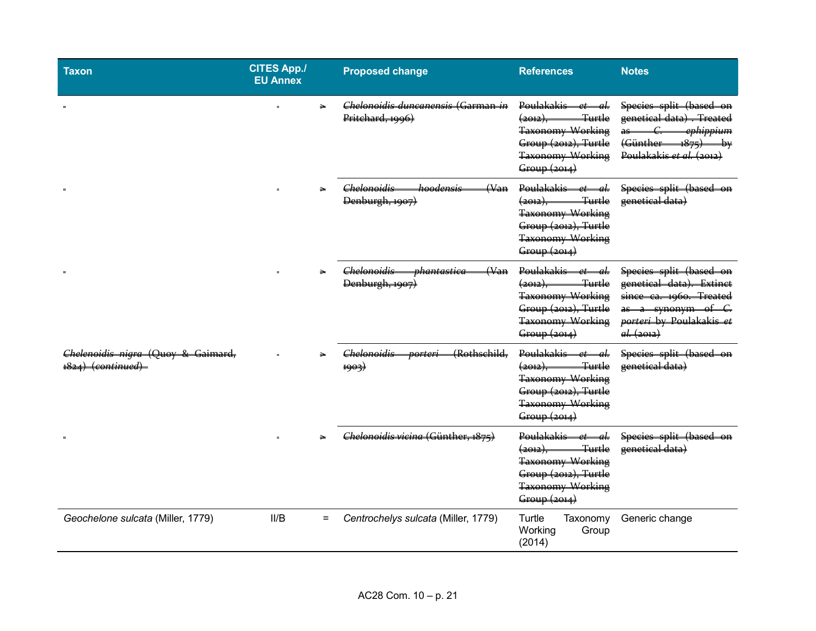| <b>Taxon</b>                                                           | <b>CITES App./</b><br><b>EU Annex</b> | <b>Proposed change</b>                                                             | <b>References</b>                                                                                                                                | <b>Notes</b>                                                                                                                                                                |
|------------------------------------------------------------------------|---------------------------------------|------------------------------------------------------------------------------------|--------------------------------------------------------------------------------------------------------------------------------------------------|-----------------------------------------------------------------------------------------------------------------------------------------------------------------------------|
|                                                                        | $\geq$                                | Chelonoidis duncanensis (Garman in<br>Pritchard, 1996)                             | Poulakakis et al.<br>Turtle<br>(2012),<br>Taxonomy Working<br>Group (2012), Turtle<br>Taxonomy Working<br>Group (2014)                           | Species split (based on<br>genetical data) . Treated<br>ephippium<br>$\mathcal{C}_{\mathcal{C}}$<br>$a^2$<br>(Günther<br>$R_{\text{rel}}$<br>۳ę<br>Poulakakis et al. (2012) |
|                                                                        |                                       | <del>Chelonoidis</del><br><del>hoodensis</del><br>$(\forall$ an<br>Denburgh, 1907) | Poulakakis et al.<br><del>Turtle</del><br>(2012)<br>Taxonomy Working<br>Group (2012), Turtle<br><b>Taxonomy Working</b><br>Group (2014)          | Species split (based on<br>genetical data)                                                                                                                                  |
|                                                                        |                                       | <del>phantastica</del><br>Chelonoidis<br>(Wan)<br>Denburgh, 1907)                  | Poulakakis et al.<br>Turtle<br><del>(2012),</del><br><b>Taxonomy Working</b><br>Group (2012), Turtle<br><b>Taxonomy Working</b><br>Group(2014)   | Species split (based on<br>genetical data). Extinct<br>since ca. 1960. Treated<br>as a synonym of<br>porteri by Poulakakis et<br>al. (2012)                                 |
| <del>Chelenoidis nigra (Quoy &amp; Gaimard,</del><br>1824) (continued) |                                       | Chelonoidis<br>(Rothschild,<br><del>porteri</del><br>1903)                         | Poulakakis et al.<br>Turtle<br><u>(2012), Les estables de la </u><br>Taxonomy Working<br>Group (2012), Turtle<br>Taxonomy Working<br>Group(2014) | Species split (based on<br>genetical data)                                                                                                                                  |
|                                                                        |                                       | Chelonoidis vicina (Günther, 1875)                                                 | Poulakakis-<br>et—al-<br>Turtle<br>$\frac{2012}{7}$<br>Taxonomy Working<br>Group (2012), Turtle<br>Taxonomy Working<br>Group (2014)              | Species split (based on<br>genetical data)                                                                                                                                  |
| Geochelone sulcata (Miller, 1779)                                      | II/B<br>$=$                           | Centrochelys sulcata (Miller, 1779)                                                | Turtle<br>Taxonomy<br>Working<br>Group<br>(2014)                                                                                                 | Generic change                                                                                                                                                              |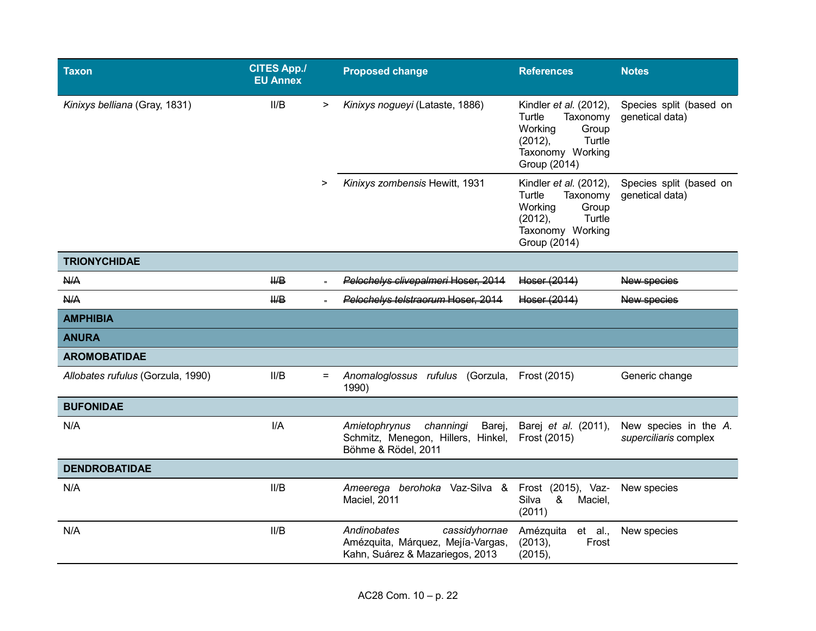| <b>Taxon</b>                      | <b>CITES App./</b><br><b>EU Annex</b> |        | <b>Proposed change</b>                                                                               | <b>References</b>                                                                                                            | <b>Notes</b>                                   |
|-----------------------------------|---------------------------------------|--------|------------------------------------------------------------------------------------------------------|------------------------------------------------------------------------------------------------------------------------------|------------------------------------------------|
| Kinixys belliana (Gray, 1831)     | II/B                                  | >      | Kinixys nogueyi (Lataste, 1886)                                                                      | Kindler et al. (2012),<br>Turtle<br>Taxonomy<br>Working<br>Group<br>Turtle<br>$(2012)$ ,<br>Taxonomy Working<br>Group (2014) | Species split (based on<br>genetical data)     |
|                                   |                                       | $\geq$ | Kinixys zombensis Hewitt, 1931                                                                       | Kindler et al. (2012),<br>Turtle<br>Taxonomy<br>Working<br>Group<br>Turtle<br>(2012),<br>Taxonomy Working<br>Group (2014)    | Species split (based on<br>genetical data)     |
| <b>TRIONYCHIDAE</b>               |                                       |        |                                                                                                      |                                                                                                                              |                                                |
| N/A                               | $H\!\!\!\!/\,\Box$                    |        | Pelochelys clivepalmeri Hoser, 2014                                                                  | Hoser (2014)                                                                                                                 | New species                                    |
| <b>N/A</b>                        | $H\!\!\!\!/\,\Box$                    |        | Pelochelys telstraorum Hoser, 2014                                                                   | Hoser (2014)                                                                                                                 | New species                                    |
| <b>AMPHIBIA</b>                   |                                       |        |                                                                                                      |                                                                                                                              |                                                |
| <b>ANURA</b>                      |                                       |        |                                                                                                      |                                                                                                                              |                                                |
| <b>AROMOBATIDAE</b>               |                                       |        |                                                                                                      |                                                                                                                              |                                                |
| Allobates rufulus (Gorzula, 1990) | II/B                                  | $=$    | Anomaloglossus rufulus (Gorzula,<br>1990)                                                            | Frost (2015)                                                                                                                 | Generic change                                 |
| <b>BUFONIDAE</b>                  |                                       |        |                                                                                                      |                                                                                                                              |                                                |
| N/A                               | I/A                                   |        | Amietophrynus<br>channingi<br>Barej,<br>Schmitz, Menegon, Hillers, Hinkel,<br>Böhme & Rödel, 2011    | Barej <i>et al.</i> (2011),<br>Frost (2015)                                                                                  | New species in the A.<br>superciliaris complex |
| <b>DENDROBATIDAE</b>              |                                       |        |                                                                                                      |                                                                                                                              |                                                |
| N/A                               | II/B                                  |        | Ameerega berohoka Vaz-Silva &<br>Maciel, 2011                                                        | Frost (2015), Vaz-<br>Silva<br>&<br>Maciel,<br>(2011)                                                                        | New species                                    |
| N/A                               | II/B                                  |        | Andinobates<br>cassidyhornae<br>Amézquita, Márquez, Mejía-Vargas,<br>Kahn, Suárez & Mazariegos, 2013 | Amézquita<br>et al.,<br>(2013),<br>Frost<br>(2015),                                                                          | New species                                    |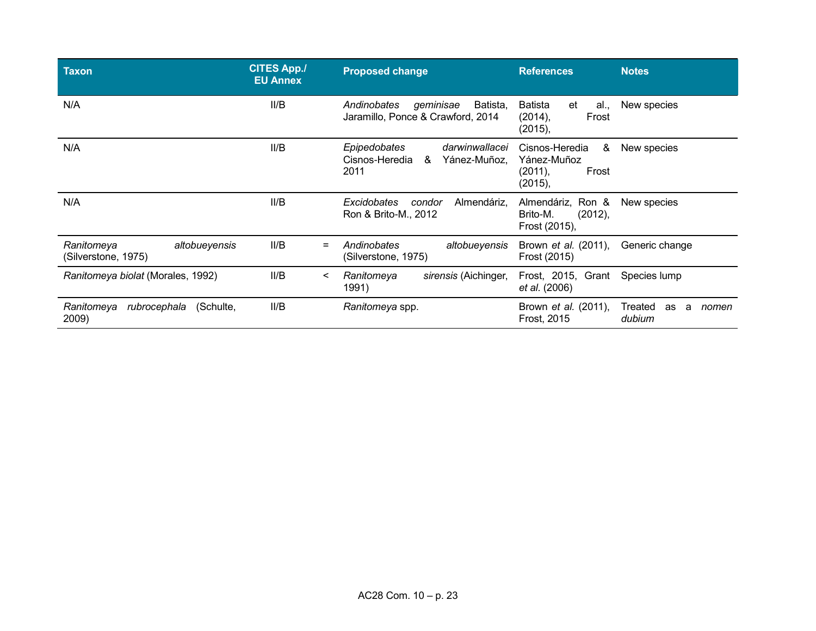| <b>Taxon</b>                                       | <b>CITES App./</b><br><b>EU Annex</b> | <b>Proposed change</b>                                                        | <b>References</b>                                                 | <b>Notes</b>                          |
|----------------------------------------------------|---------------------------------------|-------------------------------------------------------------------------------|-------------------------------------------------------------------|---------------------------------------|
| N/A                                                | II/B                                  | geminisae<br>Batista.<br>Andinobates<br>Jaramillo, Ponce & Crawford, 2014     | Batista<br>et<br>al.,<br>(2014),<br>Frost<br>(2015),              | New species                           |
| N/A                                                | II/B                                  | Epipedobates<br>darwinwallacei<br>Cisnos-Heredia<br>&<br>Yánez-Muñoz.<br>2011 | Cisnos-Heredia<br>&<br>Yánez-Muñoz<br>Frost<br>(2011),<br>(2015), | New species                           |
| N/A                                                | II/B                                  | <b>Excidobates</b><br>Almendáriz.<br>condor<br>Ron & Brito-M., 2012           | Almendáriz, Ron &<br>Brito-M.<br>(2012),<br>Frost (2015),         | New species                           |
| altobueyensis<br>Ranitomeya<br>(Silverstone, 1975) | II/B<br>$=$                           | Andinobates<br>altobueyensis<br>(Silverstone, 1975)                           | Brown <i>et al.</i> (2011),<br>Frost (2015)                       | Generic change                        |
| Ranitomeya biolat (Morales, 1992)                  | II/B<br><                             | sirensis (Aichinger,<br>Ranitomeya<br>1991)                                   | Frost, 2015, Grant<br>et al. (2006)                               | Species lump                          |
| (Schulte,<br>Ranitomeya<br>rubrocephala<br>2009)   | II/B                                  | Ranitomeya spp.                                                               | Brown <i>et al.</i> (2011),<br>Frost, 2015                        | Treated<br>as<br>nomen<br>a<br>dubium |